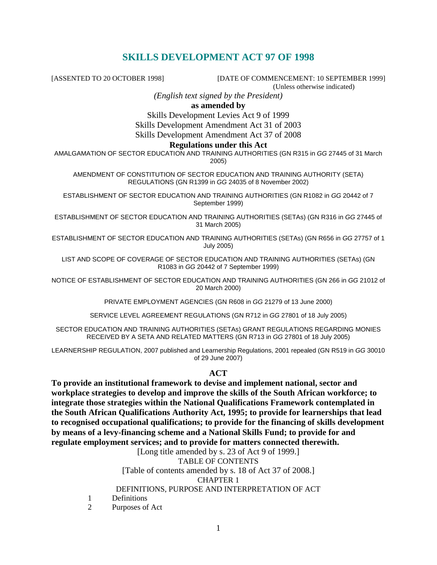## **SKILLS DEVELOPMENT ACT 97 OF 1998**

[ASSENTED TO 20 OCTOBER 1998] [DATE OF COMMENCEMENT: 10 SEPTEMBER 1999] (Unless otherwise indicated)

*(English text signed by the President)* 

#### **as amended by**

Skills Development Levies Act 9 of 1999

Skills Development Amendment Act 31 of 2003

Skills Development Amendment Act 37 of 2008

#### **Regulations under this Act**

AMALGAMATION OF SECTOR EDUCATION AND TRAINING AUTHORITIES (GN R315 in GG 27445 of 31 March 2005)

AMENDMENT OF CONSTITUTION OF SECTOR EDUCATION AND TRAINING AUTHORITY (SETA) REGULATIONS (GN R1399 in GG 24035 of 8 November 2002)

ESTABLISHMENT OF SECTOR EDUCATION AND TRAINING AUTHORITIES (GN R1082 in GG 20442 of 7 September 1999)

ESTABLISHMENT OF SECTOR EDUCATION AND TRAINING AUTHORITIES (SETAs) (GN R316 in GG 27445 of 31 March 2005)

ESTABLISHMENT OF SECTOR EDUCATION AND TRAINING AUTHORITIES (SETAs) (GN R656 in GG 27757 of 1 July 2005)

LIST AND SCOPE OF COVERAGE OF SECTOR EDUCATION AND TRAINING AUTHORITIES (SETAs) (GN R1083 in GG 20442 of 7 September 1999)

NOTICE OF ESTABLISHMENT OF SECTOR EDUCATION AND TRAINING AUTHORITIES (GN 266 in GG 21012 of 20 March 2000)

PRIVATE EMPLOYMENT AGENCIES (GN R608 in GG 21279 of 13 June 2000)

SERVICE LEVEL AGREEMENT REGULATIONS (GN R712 in GG 27801 of 18 July 2005)

SECTOR EDUCATION AND TRAINING AUTHORITIES (SETAs) GRANT REGULATIONS REGARDING MONIES RECEIVED BY A SETA AND RELATED MATTERS (GN R713 in GG 27801 of 18 July 2005)

LEARNERSHIP REGULATION, 2007 published and Learnership Regulations, 2001 repealed (GN R519 in GG 30010 of 29 June 2007)

#### **ACT**

**To provide an institutional framework to devise and implement national, sector and workplace strategies to develop and improve the skills of the South African workforce; to integrate those strategies within the National Qualifications Framework contemplated in the South African Qualifications Authority Act, 1995; to provide for learnerships that lead to recognised occupational qualifications; to provide for the financing of skills development by means of a levy-financing scheme and a National Skills Fund; to provide for and regulate employment services; and to provide for matters connected therewith.** 

[Long title amended by s. 23 of Act 9 of 1999.]

TABLE OF CONTENTS

[Table of contents amended by s. 18 of Act 37 of 2008.]

#### CHAPTER 1

#### DEFINITIONS, PURPOSE AND INTERPRETATION OF ACT

- 1 Definitions
- 2 Purposes of Act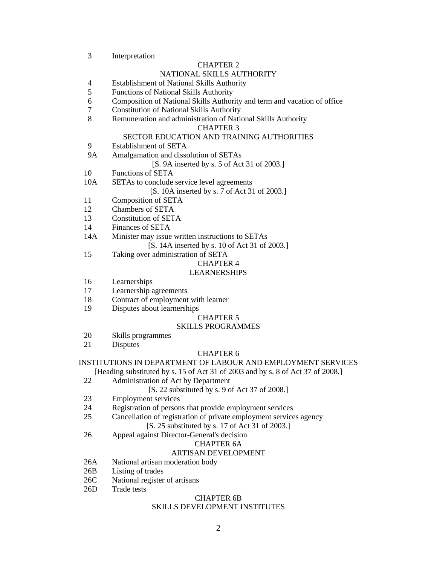| 3                                         | Interpretation                                                                                                        |  |  |
|-------------------------------------------|-----------------------------------------------------------------------------------------------------------------------|--|--|
|                                           | <b>CHAPTER 2</b>                                                                                                      |  |  |
| NATIONAL SKILLS AUTHORITY                 |                                                                                                                       |  |  |
| 4                                         | Establishment of National Skills Authority                                                                            |  |  |
| 5                                         | <b>Functions of National Skills Authority</b>                                                                         |  |  |
| 6                                         | Composition of National Skills Authority and term and vacation of office                                              |  |  |
| 7                                         | <b>Constitution of National Skills Authority</b>                                                                      |  |  |
| 8                                         | Remuneration and administration of National Skills Authority<br><b>CHAPTER 3</b>                                      |  |  |
| SECTOR EDUCATION AND TRAINING AUTHORITIES |                                                                                                                       |  |  |
| 9                                         | <b>Establishment of SETA</b>                                                                                          |  |  |
| <b>9A</b>                                 | Amalgamation and dissolution of SETAs                                                                                 |  |  |
|                                           | [S. 9A inserted by s. 5 of Act 31 of 2003.]                                                                           |  |  |
| 10                                        | <b>Functions of SETA</b>                                                                                              |  |  |
| 10A                                       | SETAs to conclude service level agreements<br>[S. 10A inserted by s. 7 of Act 31 of 2003.]                            |  |  |
| 11                                        | Composition of SETA                                                                                                   |  |  |
| 12                                        | <b>Chambers of SETA</b>                                                                                               |  |  |
| 13                                        | <b>Constitution of SETA</b>                                                                                           |  |  |
| 14                                        | Finances of SETA                                                                                                      |  |  |
| 14A                                       | Minister may issue written instructions to SETAs<br>[S. 14A inserted by s. 10 of Act 31 of 2003.]                     |  |  |
| 15                                        | Taking over administration of SETA<br><b>CHAPTER 4</b>                                                                |  |  |
| <b>LEARNERSHIPS</b>                       |                                                                                                                       |  |  |
| 16                                        | Learnerships                                                                                                          |  |  |
| 17                                        | Learnership agreements                                                                                                |  |  |
| 18                                        | Contract of employment with learner                                                                                   |  |  |
| 19                                        | Disputes about learnerships                                                                                           |  |  |
| <b>CHAPTER 5</b>                          |                                                                                                                       |  |  |
|                                           | <b>SKILLS PROGRAMMES</b>                                                                                              |  |  |
| 20                                        | Skills programmes                                                                                                     |  |  |
| 21                                        | Disputes                                                                                                              |  |  |
|                                           | <b>CHAPTER 6</b>                                                                                                      |  |  |
|                                           | INSTITUTIONS IN DEPARTMENT OF LABOUR AND EMPLOYMENT SERVICES                                                          |  |  |
|                                           | [Heading substituted by s. 15 of Act 31 of 2003 and by s. 8 of Act 37 of 2008.]                                       |  |  |
| 22                                        | Administration of Act by Department                                                                                   |  |  |
|                                           | [S. 22 substituted by s. 9 of Act 37 of 2008.]                                                                        |  |  |
| 23                                        | <b>Employment services</b>                                                                                            |  |  |
| 24                                        | Registration of persons that provide employment services                                                              |  |  |
| 25                                        | Cancellation of registration of private employment services agency<br>[S. 25 substituted by s. 17 of Act 31 of 2003.] |  |  |
| 26                                        | Appeal against Director-General's decision                                                                            |  |  |
|                                           | <b>CHAPTER 6A</b>                                                                                                     |  |  |
|                                           | <b>ARTISAN DEVELOPMENT</b>                                                                                            |  |  |
| 26A                                       | National artisan moderation body                                                                                      |  |  |
| 26B                                       | Listing of trades                                                                                                     |  |  |
| 26C                                       | National register of artisans                                                                                         |  |  |

26D Trade tests

# CHAPTER 6B

## SKILLS DEVELOPMENT INSTITUTES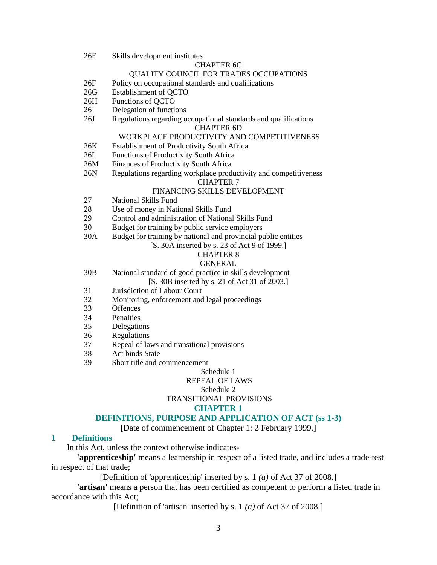26E Skills development institutes

#### CHAPTER 6C

#### QUALITY COUNCIL FOR TRADES OCCUPATIONS

- 26F Policy on occupational standards and qualifications
- 26G Establishment of QCTO
- 26H Functions of QCTO
- 26I Delegation of functions
- 26J Regulations regarding occupational standards and qualifications CHAPTER 6D

#### WORKPLACE PRODUCTIVITY AND COMPETITIVENESS

- 26K Establishment of Productivity South Africa
- 26L Functions of Productivity South Africa
- 26M Finances of Productivity South Africa
- 26N Regulations regarding workplace productivity and competitiveness

#### CHAPTER 7

#### FINANCING SKILLS DEVELOPMENT

- 27 National Skills Fund
- 28 Use of money in National Skills Fund
- 29 Control and administration of National Skills Fund
- 30 Budget for training by public service employers
- 30A Budget for training by national and provincial public entities

#### [S. 30A inserted by s. 23 of Act 9 of 1999.]

#### CHAPTER 8

#### GENERAL

- 30B National standard of good practice in skills development [S. 30B inserted by s. 21 of Act 31 of 2003.]
- 31 Jurisdiction of Labour Court
- 32 Monitoring, enforcement and legal proceedings
- 33 Offences
- 34 Penalties
- 35 Delegations
- 36 Regulations
- 37 Repeal of laws and transitional provisions<br>38 Act binds State
- Act binds State
- 39 Short title and commencement

#### Schedule 1

#### REPEAL OF LAWS

#### Schedule 2

#### TRANSITIONAL PROVISIONS

#### **CHAPTER 1**

#### **DEFINITIONS, PURPOSE AND APPLICATION OF ACT (ss 1-3)**

[Date of commencement of Chapter 1: 2 February 1999.]

#### **1 Definitions**

In this Act, unless the context otherwise indicates-

**'apprenticeship'** means a learnership in respect of a listed trade, and includes a trade-test in respect of that trade;

[Definition of 'apprenticeship' inserted by s. 1 *(a)* of Act 37 of 2008.]

**'artisan'** means a person that has been certified as competent to perform a listed trade in accordance with this Act;

[Definition of 'artisan' inserted by s. 1 *(a)* of Act 37 of 2008.]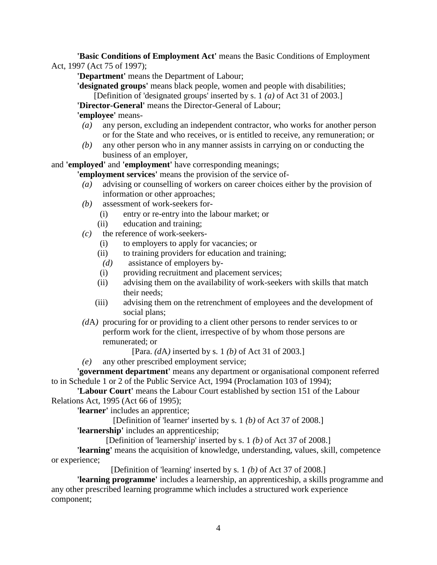**'Basic Conditions of Employment Act'** means the Basic Conditions of Employment Act, 1997 (Act 75 of 1997);

**'Department'** means the Department of Labour;

**'designated groups'** means black people, women and people with disabilities;

[Definition of 'designated groups' inserted by s. 1 *(a)* of Act 31 of 2003.]

**'Director-General'** means the Director-General of Labour;

#### **'employee'** means-

- *(a)* any person, excluding an independent contractor, who works for another person or for the State and who receives, or is entitled to receive, any remuneration; or
- *(b)* any other person who in any manner assists in carrying on or conducting the business of an employer,

and **'employed'** and **'employment'** have corresponding meanings;

**'employment services'** means the provision of the service of-

- *(a)* advising or counselling of workers on career choices either by the provision of information or other approaches;
- *(b)* assessment of work-seekers for-
	- (i) entry or re-entry into the labour market; or
	- (ii) education and training;
- *(c)* the reference of work-seekers-
	- (i) to employers to apply for vacancies; or
	- (ii) to training providers for education and training;
	- *(d)* assistance of employers by-
	- (i) providing recruitment and placement services;
	- (ii) advising them on the availability of work-seekers with skills that match their needs;
	- (iii) advising them on the retrenchment of employees and the development of social plans;
- *(d*A*)* procuring for or providing to a client other persons to render services to or perform work for the client, irrespective of by whom those persons are remunerated; or

[Para. *(d*A*)* inserted by s. 1 *(b)* of Act 31 of 2003.]

*(e)* any other prescribed employment service;

**'government department'** means any department or organisational component referred to in Schedule 1 or 2 of the Public Service Act, 1994 (Proclamation 103 of 1994);

**'Labour Court'** means the Labour Court established by section 151 of the Labour Relations Act, 1995 (Act 66 of 1995);

**'learner'** includes an apprentice;

[Definition of 'learner' inserted by s. 1 *(b)* of Act 37 of 2008.]

**'learnership'** includes an apprenticeship;

[Definition of 'learnership' inserted by s. 1 *(b)* of Act 37 of 2008.]

**'learning'** means the acquisition of knowledge, understanding, values, skill, competence or experience;

[Definition of 'learning' inserted by s. 1 *(b)* of Act 37 of 2008.]

**'learning programme'** includes a learnership, an apprenticeship, a skills programme and any other prescribed learning programme which includes a structured work experience component;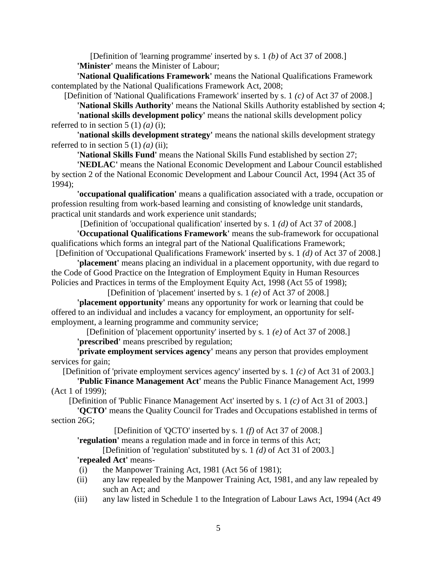[Definition of 'learning programme' inserted by s. 1 *(b)* of Act 37 of 2008.] **'Minister'** means the Minister of Labour;

**'National Qualifications Framework'** means the National Qualifications Framework contemplated by the National Qualifications Framework Act, 2008;

[Definition of 'National Qualifications Framework' inserted by s. 1 *(c)* of Act 37 of 2008.]

**'National Skills Authority'** means the National Skills Authority established by section 4; **'national skills development policy'** means the national skills development policy

referred to in section 5 (1)  $(a)$  (i);

**'national skills development strategy'** means the national skills development strategy referred to in section  $5(1)(a)$  (ii);

**'National Skills Fund'** means the National Skills Fund established by section 27;

**'NEDLAC'** means the National Economic Development and Labour Council established by section 2 of the National Economic Development and Labour Council Act, 1994 (Act 35 of 1994);

**'occupational qualification'** means a qualification associated with a trade, occupation or profession resulting from work-based learning and consisting of knowledge unit standards, practical unit standards and work experience unit standards;

[Definition of 'occupational qualification' inserted by s. 1 *(d)* of Act 37 of 2008.]

**'Occupational Qualifications Framework'** means the sub-framework for occupational qualifications which forms an integral part of the National Qualifications Framework; [Definition of 'Occupational Qualifications Framework' inserted by s. 1 *(d)* of Act 37 of 2008.]

**'placement'** means placing an individual in a placement opportunity, with due regard to the Code of Good Practice on the Integration of Employment Equity in Human Resources Policies and Practices in terms of the Employment Equity Act, 1998 (Act 55 of 1998);

[Definition of 'placement' inserted by s. 1 *(e)* of Act 37 of 2008.]

**'placement opportunity'** means any opportunity for work or learning that could be offered to an individual and includes a vacancy for employment, an opportunity for selfemployment, a learning programme and community service;

[Definition of 'placement opportunity' inserted by s. 1 *(e)* of Act 37 of 2008.]

**'prescribed'** means prescribed by regulation;

**'private employment services agency'** means any person that provides employment services for gain;

[Definition of 'private employment services agency' inserted by s. 1 *(c)* of Act 31 of 2003.]

**'Public Finance Management Act'** means the Public Finance Management Act, 1999 (Act 1 of 1999);

[Definition of 'Public Finance Management Act' inserted by s. 1 *(c)* of Act 31 of 2003.]

**'QCTO'** means the Quality Council for Trades and Occupations established in terms of section 26G;

[Definition of 'QCTO' inserted by s. 1 *(f)* of Act 37 of 2008.]

**'regulation'** means a regulation made and in force in terms of this Act;

[Definition of 'regulation' substituted by s. 1 *(d)* of Act 31 of 2003.]

## **'repealed Act'** means-

(i) the Manpower Training Act, 1981 (Act 56 of 1981);

- (ii) any law repealed by the Manpower Training Act, 1981, and any law repealed by such an Act; and
- (iii) any law listed in Schedule 1 to the Integration of Labour Laws Act, 1994 (Act 49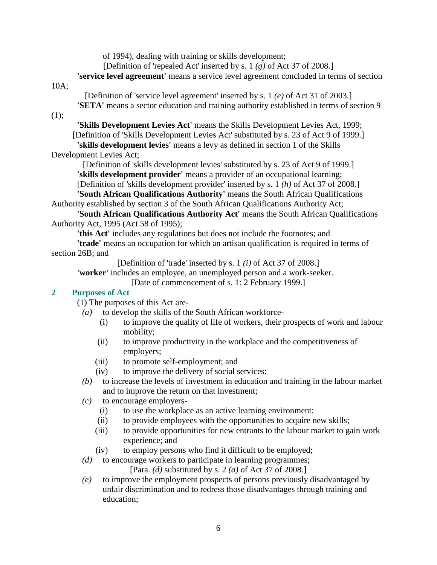of 1994), dealing with training or skills development;

[Definition of 'repealed Act' inserted by s. 1 *(g)* of Act 37 of 2008.]

**'service level agreement'** means a service level agreement concluded in terms of section

10A;

[Definition of 'service level agreement' inserted by s. 1 *(e)* of Act 31 of 2003.] **'SETA'** means a sector education and training authority established in terms of section 9

(1);

**'Skills Development Levies Act'** means the Skills Development Levies Act, 1999; [Definition of 'Skills Development Levies Act' substituted by s. 23 of Act 9 of 1999.] **'skills development levies'** means a levy as defined in section 1 of the Skills

Development Levies Act;

[Definition of 'skills development levies' substituted by s. 23 of Act 9 of 1999.] **'skills development provider'** means a provider of an occupational learning;

[Definition of 'skills development provider' inserted by s. 1 *(h)* of Act 37 of 2008.]

**'South African Qualifications Authority'** means the South African Qualifications Authority established by section 3 of the South African Qualifications Authority Act;

**'South African Qualifications Authority Act'** means the South African Qualifications Authority Act, 1995 (Act 58 of 1995);

**'this Act'** includes any regulations but does not include the footnotes; and

**'trade'** means an occupation for which an artisan qualification is required in terms of section 26B; and

[Definition of 'trade' inserted by s. 1 *(i)* of Act 37 of 2008.]

**'worker'** includes an employee, an unemployed person and a work-seeker.

[Date of commencement of s. 1: 2 February 1999.]

#### **2 Purposes of Act**

(1) The purposes of this Act are-

- *(a)* to develop the skills of the South African workforce-
	- (i) to improve the quality of life of workers, their prospects of work and labour mobility;
	- (ii) to improve productivity in the workplace and the competitiveness of employers;
	- (iii) to promote self-employment; and
	- (iv) to improve the delivery of social services;
- *(b)* to increase the levels of investment in education and training in the labour market and to improve the return on that investment;
- *(c)* to encourage employers-
	- (i) to use the workplace as an active learning environment;
	- (ii) to provide employees with the opportunities to acquire new skills;
	- (iii) to provide opportunities for new entrants to the labour market to gain work experience; and
	- (iv) to employ persons who find it difficult to be employed;
- *(d)* to encourage workers to participate in learning programmes;

[Para. *(d)* substituted by s. 2 *(a)* of Act 37 of 2008.]

 *(e)* to improve the employment prospects of persons previously disadvantaged by unfair discrimination and to redress those disadvantages through training and education;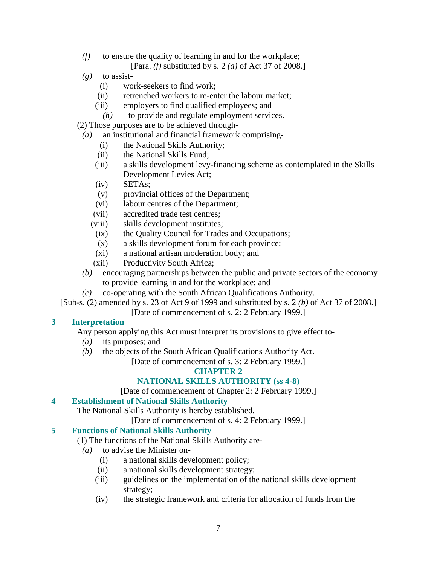*(f)* to ensure the quality of learning in and for the workplace;

[Para. *(f)* substituted by s. 2 *(a)* of Act 37 of 2008.]

- $(g)$  to assist-
	- (i) work-seekers to find work;
	- (ii) retrenched workers to re-enter the labour market;
	- (iii) employers to find qualified employees; and
	- *(h)* to provide and regulate employment services.
- (2) Those purposes are to be achieved through-
- *(a)* an institutional and financial framework comprising-
	- (i) the National Skills Authority;
	- (ii) the National Skills Fund;
	- (iii) a skills development levy-financing scheme as contemplated in the Skills Development Levies Act;
	- (iv) SETAs;
	- (v) provincial offices of the Department;
	- (vi) labour centres of the Department;
	- (vii) accredited trade test centres;
	- (viii) skills development institutes;
	- (ix) the Quality Council for Trades and Occupations;
	- (x) a skills development forum for each province;
	- (xi) a national artisan moderation body; and
	- (xii) Productivity South Africa;
- *(b)* encouraging partnerships between the public and private sectors of the economy to provide learning in and for the workplace; and
- *(c)* co-operating with the South African Qualifications Authority.

[Sub-s. (2) amended by s. 23 of Act 9 of 1999 and substituted by s. 2 *(b)* of Act 37 of 2008.]

[Date of commencement of s. 2: 2 February 1999.]

## **3 Interpretation**

Any person applying this Act must interpret its provisions to give effect to-

- *(a)* its purposes; and
- *(b)* the objects of the South African Qualifications Authority Act.

[Date of commencement of s. 3: 2 February 1999.]

## **CHAPTER 2**

## **NATIONAL SKILLS AUTHORITY (ss 4-8)**

[Date of commencement of Chapter 2: 2 February 1999.]

## **4 Establishment of National Skills Authority**

The National Skills Authority is hereby established.

[Date of commencement of s. 4: 2 February 1999.]

## **5 Functions of National Skills Authority**

- (1) The functions of the National Skills Authority are-
	- *(a)* to advise the Minister on-
		- (i) a national skills development policy;
		- (ii) a national skills development strategy;
		- (iii) guidelines on the implementation of the national skills development strategy;
		- (iv) the strategic framework and criteria for allocation of funds from the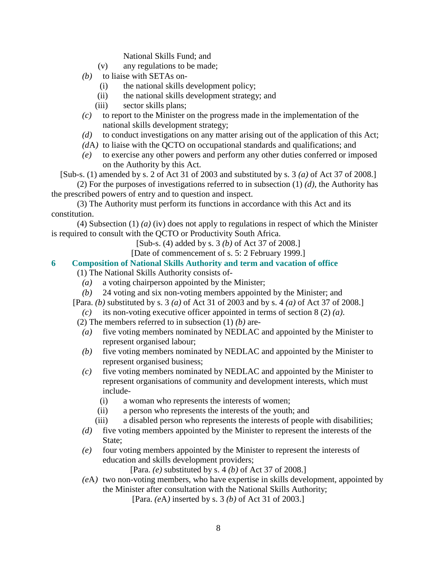National Skills Fund; and

- (v) any regulations to be made;
- *(b)* to liaise with SETAs on-
	- (i) the national skills development policy;
	- (ii) the national skills development strategy; and
	- (iii) sector skills plans;
- *(c)* to report to the Minister on the progress made in the implementation of the national skills development strategy;
- *(d)* to conduct investigations on any matter arising out of the application of this Act;
- *(d*A*)* to liaise with the QCTO on occupational standards and qualifications; and
- *(e)* to exercise any other powers and perform any other duties conferred or imposed on the Authority by this Act.

[Sub-s. (1) amended by s. 2 of Act 31 of 2003 and substituted by s. 3 *(a)* of Act 37 of 2008.]

 (2) For the purposes of investigations referred to in subsection (1) *(d)*, the Authority has the prescribed powers of entry and to question and inspect.

 (3) The Authority must perform its functions in accordance with this Act and its constitution.

 (4) Subsection (1) *(a)* (iv) does not apply to regulations in respect of which the Minister is required to consult with the QCTO or Productivity South Africa.

[Sub-s. (4) added by s. 3 *(b)* of Act 37 of 2008.]

[Date of commencement of s. 5: 2 February 1999.]

## **6 Composition of National Skills Authority and term and vacation of office**

(1) The National Skills Authority consists of-

- *(a)* a voting chairperson appointed by the Minister;
- *(b)* 24 voting and six non-voting members appointed by the Minister; and
- [Para. *(b)* substituted by s. 3 *(a)* of Act 31 of 2003 and by s. 4 *(a)* of Act 37 of 2008.]
	- *(c)* its non-voting executive officer appointed in terms of section 8 (2) *(a)*.
- (2) The members referred to in subsection (1) *(b)* are-
	- *(a)* five voting members nominated by NEDLAC and appointed by the Minister to represent organised labour;
	- *(b)* five voting members nominated by NEDLAC and appointed by the Minister to represent organised business;
	- *(c)* five voting members nominated by NEDLAC and appointed by the Minister to represent organisations of community and development interests, which must include-
		- (i) a woman who represents the interests of women;
		- (ii) a person who represents the interests of the youth; and
		- (iii) a disabled person who represents the interests of people with disabilities;
	- *(d)* five voting members appointed by the Minister to represent the interests of the State;
	- *(e)* four voting members appointed by the Minister to represent the interests of education and skills development providers;

[Para. *(e)* substituted by s. 4 *(b)* of Act 37 of 2008.]

 *(e*A*)* two non-voting members, who have expertise in skills development, appointed by the Minister after consultation with the National Skills Authority;

[Para. *(e*A*)* inserted by s. 3 *(b)* of Act 31 of 2003.]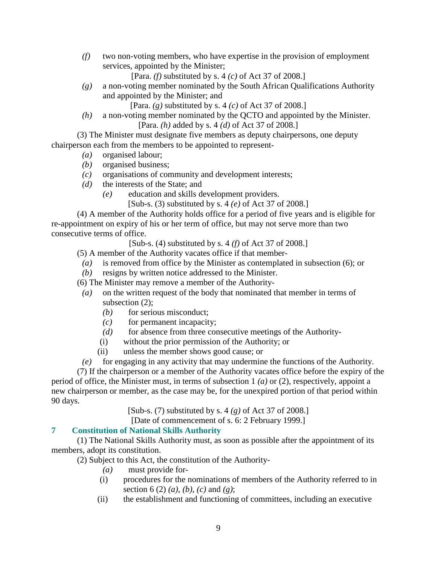*(f)* two non-voting members, who have expertise in the provision of employment services, appointed by the Minister;

[Para. *(f)* substituted by s. 4 *(c)* of Act 37 of 2008.]

 *(g)* a non-voting member nominated by the South African Qualifications Authority and appointed by the Minister; and

[Para. *(g)* substituted by s. 4 *(c)* of Act 37 of 2008.]

 *(h)* a non-voting member nominated by the QCTO and appointed by the Minister. [Para. *(h)* added by s. 4 *(d)* of Act 37 of 2008.]

 (3) The Minister must designate five members as deputy chairpersons, one deputy chairperson each from the members to be appointed to represent-

- *(a)* organised labour;
- *(b)* organised business;
- *(c)* organisations of community and development interests;
- *(d)* the interests of the State; and
	- *(e)* education and skills development providers.

[Sub-s. (3) substituted by s. 4 *(e)* of Act 37 of 2008.]

 (4) A member of the Authority holds office for a period of five years and is eligible for re-appointment on expiry of his or her term of office, but may not serve more than two consecutive terms of office.

[Sub-s. (4) substituted by s. 4 *(f)* of Act 37 of 2008.]

(5) A member of the Authority vacates office if that member-

- *(a)* is removed from office by the Minister as contemplated in subsection (6); or
- *(b)* resigns by written notice addressed to the Minister.

(6) The Minister may remove a member of the Authority-

- *(a)* on the written request of the body that nominated that member in terms of subsection (2);
	- *(b)* for serious misconduct;
	- $(c)$  for permanent incapacity;
	- *(d)* for absence from three consecutive meetings of the Authority-
	- (i) without the prior permission of the Authority; or
	- (ii) unless the member shows good cause; or
- *(e)* for engaging in any activity that may undermine the functions of the Authority.

 (7) If the chairperson or a member of the Authority vacates office before the expiry of the period of office, the Minister must, in terms of subsection 1 *(a)* or (2), respectively, appoint a new chairperson or member, as the case may be, for the unexpired portion of that period within 90 days.

[Sub-s. (7) substituted by s. 4 *(g)* of Act 37 of 2008.]

[Date of commencement of s. 6: 2 February 1999.]

#### **7 Constitution of National Skills Authority**

 (1) The National Skills Authority must, as soon as possible after the appointment of its members, adopt its constitution.

(2) Subject to this Act, the constitution of the Authority-

- *(a)* must provide for-
- (i) procedures for the nominations of members of the Authority referred to in section 6 (2) *(a)*, *(b)*, *(c)* and *(g)*;
- (ii) the establishment and functioning of committees, including an executive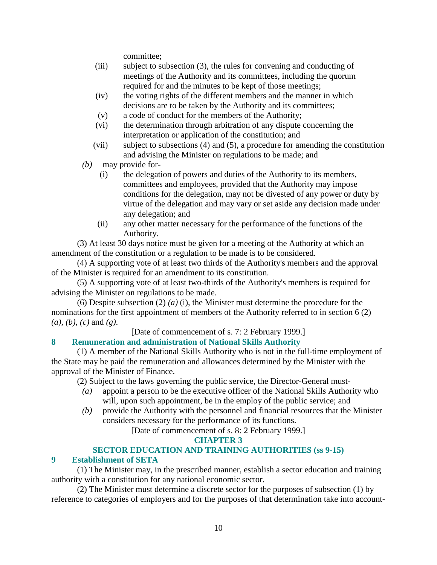committee;

- (iii) subject to subsection (3), the rules for convening and conducting of meetings of the Authority and its committees, including the quorum required for and the minutes to be kept of those meetings;
- (iv) the voting rights of the different members and the manner in which decisions are to be taken by the Authority and its committees;
- (v) a code of conduct for the members of the Authority;
- (vi) the determination through arbitration of any dispute concerning the interpretation or application of the constitution; and
- (vii) subject to subsections (4) and (5), a procedure for amending the constitution and advising the Minister on regulations to be made; and
- *(b)* may provide for-
	- (i) the delegation of powers and duties of the Authority to its members, committees and employees, provided that the Authority may impose conditions for the delegation, may not be divested of any power or duty by virtue of the delegation and may vary or set aside any decision made under any delegation; and
	- (ii) any other matter necessary for the performance of the functions of the Authority.

 (3) At least 30 days notice must be given for a meeting of the Authority at which an amendment of the constitution or a regulation to be made is to be considered.

 (4) A supporting vote of at least two thirds of the Authority's members and the approval of the Minister is required for an amendment to its constitution.

 (5) A supporting vote of at least two-thirds of the Authority's members is required for advising the Minister on regulations to be made.

 (6) Despite subsection (2) *(a)* (i), the Minister must determine the procedure for the nominations for the first appointment of members of the Authority referred to in section 6 (2) *(a)*, *(b)*, *(c)* and *(g)*.

[Date of commencement of s. 7: 2 February 1999.]

## **8 Remuneration and administration of National Skills Authority**

 (1) A member of the National Skills Authority who is not in the full-time employment of the State may be paid the remuneration and allowances determined by the Minister with the approval of the Minister of Finance.

(2) Subject to the laws governing the public service, the Director-General must-

- *(a)* appoint a person to be the executive officer of the National Skills Authority who will, upon such appointment, be in the employ of the public service; and
- *(b)* provide the Authority with the personnel and financial resources that the Minister considers necessary for the performance of its functions.

[Date of commencement of s. 8: 2 February 1999.]

## **CHAPTER 3**

## **SECTOR EDUCATION AND TRAINING AUTHORITIES (ss 9-15)**

## **9 Establishment of SETA**

 (1) The Minister may, in the prescribed manner, establish a sector education and training authority with a constitution for any national economic sector.

 (2) The Minister must determine a discrete sector for the purposes of subsection (1) by reference to categories of employers and for the purposes of that determination take into account-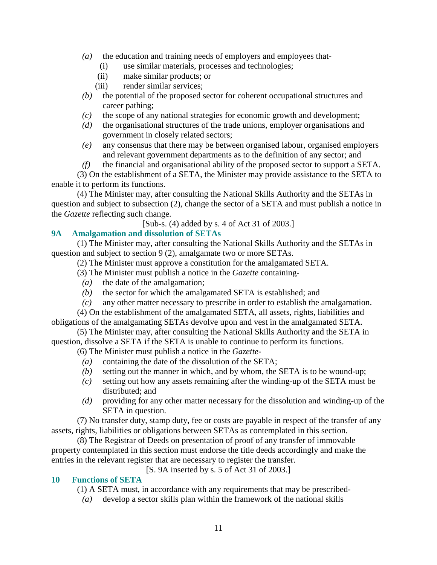- *(a)* the education and training needs of employers and employees that-
	- (i) use similar materials, processes and technologies;
	- (ii) make similar products; or
	- (iii) render similar services;
- *(b)* the potential of the proposed sector for coherent occupational structures and career pathing;
- *(c)* the scope of any national strategies for economic growth and development;
- *(d)* the organisational structures of the trade unions, employer organisations and government in closely related sectors;
- *(e)* any consensus that there may be between organised labour, organised employers and relevant government departments as to the definition of any sector; and
- *(f)* the financial and organisational ability of the proposed sector to support a SETA.

 (3) On the establishment of a SETA, the Minister may provide assistance to the SETA to enable it to perform its functions.

 (4) The Minister may, after consulting the National Skills Authority and the SETAs in question and subject to subsection (2), change the sector of a SETA and must publish a notice in the *Gazette* reflecting such change.

[Sub-s. (4) added by s. 4 of Act 31 of 2003.]

#### **9A Amalgamation and dissolution of SETAs**

 (1) The Minister may, after consulting the National Skills Authority and the SETAs in question and subject to section 9 (2), amalgamate two or more SETAs.

(2) The Minister must approve a constitution for the amalgamated SETA.

- (3) The Minister must publish a notice in the *Gazette* containing-
	- *(a)* the date of the amalgamation;
	- *(b)* the sector for which the amalgamated SETA is established; and
- *(c)* any other matter necessary to prescribe in order to establish the amalgamation.

 (4) On the establishment of the amalgamated SETA, all assets, rights, liabilities and obligations of the amalgamating SETAs devolve upon and vest in the amalgamated SETA.

 (5) The Minister may, after consulting the National Skills Authority and the SETA in question, dissolve a SETA if the SETA is unable to continue to perform its functions.

(6) The Minister must publish a notice in the *Gazette*-

- *(a)* containing the date of the dissolution of the SETA;
- *(b)* setting out the manner in which, and by whom, the SETA is to be wound-up;
- *(c)* setting out how any assets remaining after the winding-up of the SETA must be distributed; and
- *(d)* providing for any other matter necessary for the dissolution and winding-up of the SETA in question.

 (7) No transfer duty, stamp duty, fee or costs are payable in respect of the transfer of any assets, rights, liabilities or obligations between SETAs as contemplated in this section.

 (8) The Registrar of Deeds on presentation of proof of any transfer of immovable property contemplated in this section must endorse the title deeds accordingly and make the entries in the relevant register that are necessary to register the transfer.

[S. 9A inserted by s. 5 of Act 31 of 2003.]

#### **10 Functions of SETA**

(1) A SETA must, in accordance with any requirements that may be prescribed-

*(a)* develop a sector skills plan within the framework of the national skills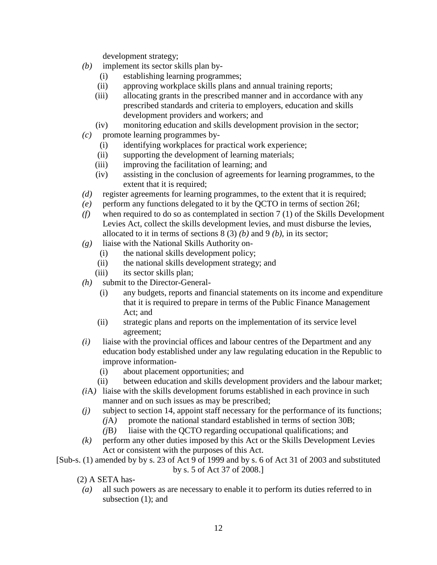development strategy;

- *(b)* implement its sector skills plan by-
	- (i) establishing learning programmes;
	- (ii) approving workplace skills plans and annual training reports;
	- (iii) allocating grants in the prescribed manner and in accordance with any prescribed standards and criteria to employers, education and skills development providers and workers; and
	- (iv) monitoring education and skills development provision in the sector;
- *(c)* promote learning programmes by-
	- (i) identifying workplaces for practical work experience;
	- (ii) supporting the development of learning materials;
	- (iii) improving the facilitation of learning; and
	- (iv) assisting in the conclusion of agreements for learning programmes, to the extent that it is required;
- *(d)* register agreements for learning programmes, to the extent that it is required;
- *(e)* perform any functions delegated to it by the QCTO in terms of section 26I;
- *(f)* when required to do so as contemplated in section 7 (1) of the Skills Development Levies Act, collect the skills development levies, and must disburse the levies, allocated to it in terms of sections 8 (3) *(b)* and 9 *(b)*, in its sector;
- *(g)* liaise with the National Skills Authority on-
	- (i) the national skills development policy;
	- (ii) the national skills development strategy; and
	- (iii) its sector skills plan;
- *(h)* submit to the Director-General-
	- (i) any budgets, reports and financial statements on its income and expenditure that it is required to prepare in terms of the Public Finance Management Act; and
	- (ii) strategic plans and reports on the implementation of its service level agreement;
- *(i)* liaise with the provincial offices and labour centres of the Department and any education body established under any law regulating education in the Republic to improve information-
	- (i) about placement opportunities; and
	- (ii) between education and skills development providers and the labour market;
- *(i*A*)* liaise with the skills development forums established in each province in such manner and on such issues as may be prescribed;
- *(j)* subject to section 14, appoint staff necessary for the performance of its functions;  $(i)$  promote the national standard established in terms of section 30B;
	- *(j*B*)* liaise with the QCTO regarding occupational qualifications; and
- *(k)* perform any other duties imposed by this Act or the Skills Development Levies Act or consistent with the purposes of this Act.
- [Sub-s. (1) amended by by s. 23 of Act 9 of 1999 and by s. 6 of Act 31 of 2003 and substituted by s. 5 of Act 37 of 2008.]
	- (2) A SETA has-
		- *(a)* all such powers as are necessary to enable it to perform its duties referred to in subsection (1); and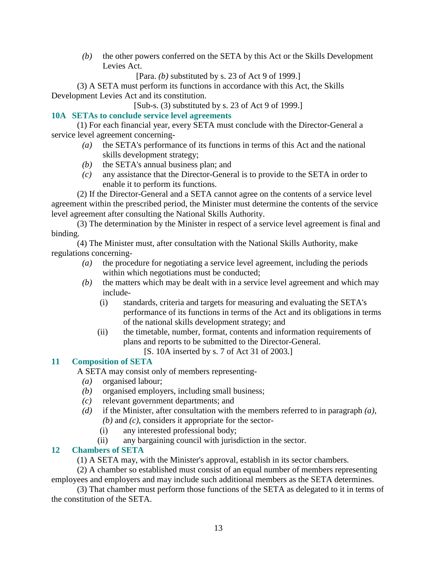*(b)* the other powers conferred on the SETA by this Act or the Skills Development Levies Act.

[Para. *(b)* substituted by s. 23 of Act 9 of 1999.]

 (3) A SETA must perform its functions in accordance with this Act, the Skills Development Levies Act and its constitution.

[Sub-s. (3) substituted by s. 23 of Act 9 of 1999.]

## **10A SETAs to conclude service level agreements**

 (1) For each financial year, every SETA must conclude with the Director-General a service level agreement concerning-

- *(a)* the SETA's performance of its functions in terms of this Act and the national skills development strategy;
- *(b)* the SETA's annual business plan; and
- *(c)* any assistance that the Director-General is to provide to the SETA in order to enable it to perform its functions.

 (2) If the Director-General and a SETA cannot agree on the contents of a service level agreement within the prescribed period, the Minister must determine the contents of the service level agreement after consulting the National Skills Authority.

 (3) The determination by the Minister in respect of a service level agreement is final and binding.

 (4) The Minister must, after consultation with the National Skills Authority, make regulations concerning-

- *(a)* the procedure for negotiating a service level agreement, including the periods within which negotiations must be conducted;
- *(b)* the matters which may be dealt with in a service level agreement and which may include-
	- (i) standards, criteria and targets for measuring and evaluating the SETA's performance of its functions in terms of the Act and its obligations in terms of the national skills development strategy; and
	- (ii) the timetable, number, format, contents and information requirements of plans and reports to be submitted to the Director-General.
		- [S. 10A inserted by s. 7 of Act 31 of 2003.]

## **11 Composition of SETA**

A SETA may consist only of members representing-

- *(a)* organised labour;
- *(b)* organised employers, including small business;
- *(c)* relevant government departments; and
- *(d)* if the Minister, after consultation with the members referred to in paragraph *(a)*, *(b)* and *(c)*, considers it appropriate for the sector-
	- (i) any interested professional body;
	- (ii) any bargaining council with jurisdiction in the sector.

## **12 Chambers of SETA**

(1) A SETA may, with the Minister's approval, establish in its sector chambers.

 (2) A chamber so established must consist of an equal number of members representing employees and employers and may include such additional members as the SETA determines.

 (3) That chamber must perform those functions of the SETA as delegated to it in terms of the constitution of the SETA.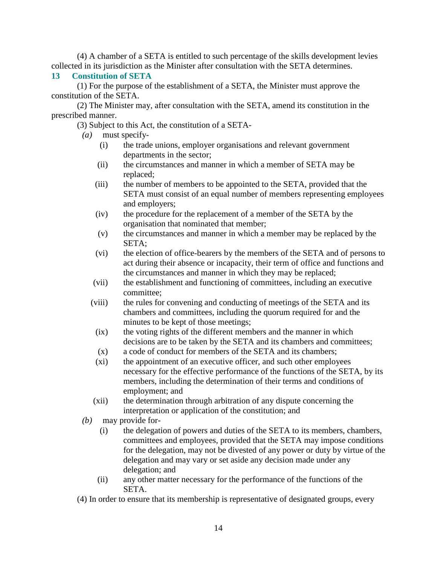(4) A chamber of a SETA is entitled to such percentage of the skills development levies collected in its jurisdiction as the Minister after consultation with the SETA determines.

## **13 Constitution of SETA**

 (1) For the purpose of the establishment of a SETA, the Minister must approve the constitution of the SETA.

 (2) The Minister may, after consultation with the SETA, amend its constitution in the prescribed manner.

(3) Subject to this Act, the constitution of a SETA-

- *(a)* must specify-
	- (i) the trade unions, employer organisations and relevant government departments in the sector;
	- (ii) the circumstances and manner in which a member of SETA may be replaced;
	- (iii) the number of members to be appointed to the SETA, provided that the SETA must consist of an equal number of members representing employees and employers;
	- (iv) the procedure for the replacement of a member of the SETA by the organisation that nominated that member;
	- (v) the circumstances and manner in which a member may be replaced by the SETA;
	- (vi) the election of office-bearers by the members of the SETA and of persons to act during their absence or incapacity, their term of office and functions and the circumstances and manner in which they may be replaced;
	- (vii) the establishment and functioning of committees, including an executive committee;
	- (viii) the rules for convening and conducting of meetings of the SETA and its chambers and committees, including the quorum required for and the minutes to be kept of those meetings;
		- (ix) the voting rights of the different members and the manner in which decisions are to be taken by the SETA and its chambers and committees;
		- (x) a code of conduct for members of the SETA and its chambers;
		- (xi) the appointment of an executive officer, and such other employees necessary for the effective performance of the functions of the SETA, by its members, including the determination of their terms and conditions of employment; and
	- (xii) the determination through arbitration of any dispute concerning the interpretation or application of the constitution; and
- *(b)* may provide for-
	- (i) the delegation of powers and duties of the SETA to its members, chambers, committees and employees, provided that the SETA may impose conditions for the delegation, may not be divested of any power or duty by virtue of the delegation and may vary or set aside any decision made under any delegation; and
	- (ii) any other matter necessary for the performance of the functions of the SETA.
- (4) In order to ensure that its membership is representative of designated groups, every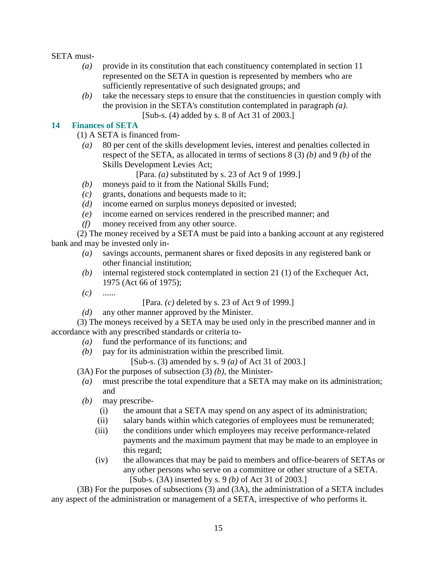#### SETA must-

- *(a)* provide in its constitution that each constituency contemplated in section 11 represented on the SETA in question is represented by members who are sufficiently representative of such designated groups; and
- *(b)* take the necessary steps to ensure that the constituencies in question comply with the provision in the SETA's constitution contemplated in paragraph *(a)*.

[Sub-s. (4) added by s. 8 of Act 31 of 2003.]

## **14 Finances of SETA**

(1) A SETA is financed from-

 *(a)* 80 per cent of the skills development levies, interest and penalties collected in respect of the SETA, as allocated in terms of sections 8 (3) *(b)* and 9 *(b)* of the Skills Development Levies Act;

[Para. *(a)* substituted by s. 23 of Act 9 of 1999.]

- *(b)* moneys paid to it from the National Skills Fund;
- *(c)* grants, donations and bequests made to it;
- *(d)* income earned on surplus moneys deposited or invested;
- *(e)* income earned on services rendered in the prescribed manner; and
- *(f)* money received from any other source.

 (2) The money received by a SETA must be paid into a banking account at any registered bank and may be invested only in-

- *(a)* savings accounts, permanent shares or fixed deposits in any registered bank or other financial institution;
- *(b)* internal registered stock contemplated in section 21 (1) of the Exchequer Act, 1975 (Act 66 of 1975);
- *(c)* ......

[Para. *(c)* deleted by s. 23 of Act 9 of 1999.]

*(d)* any other manner approved by the Minister.

 (3) The moneys received by a SETA may be used only in the prescribed manner and in accordance with any prescribed standards or criteria to-

- *(a)* fund the performance of its functions; and
- *(b)* pay for its administration within the prescribed limit.
	- [Sub-s. (3) amended by s. 9 *(a)* of Act 31 of 2003.]
- (3A) For the purposes of subsection (3) *(b)*, the Minister-
- *(a)* must prescribe the total expenditure that a SETA may make on its administration; and
- *(b)* may prescribe-
	- (i) the amount that a SETA may spend on any aspect of its administration;
	- (ii) salary bands within which categories of employees must be remunerated;
	- (iii) the conditions under which employees may receive performance-related payments and the maximum payment that may be made to an employee in this regard;
	- (iv) the allowances that may be paid to members and office-bearers of SETAs or any other persons who serve on a committee or other structure of a SETA. [Sub-s. (3A) inserted by s. 9 *(b)* of Act 31 of 2003.]

 (3B) For the purposes of subsections (3) and (3A), the administration of a SETA includes any aspect of the administration or management of a SETA, irrespective of who performs it.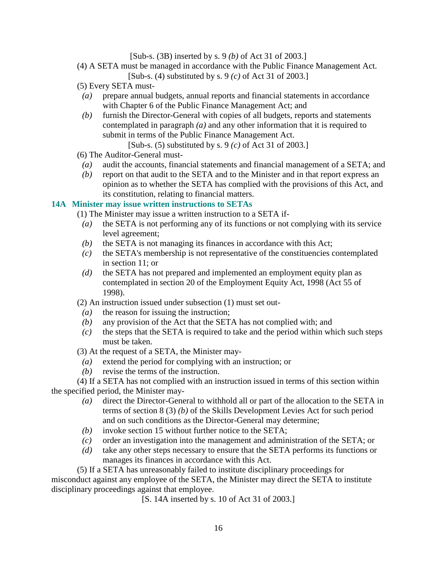[Sub-s. (3B) inserted by s. 9 *(b)* of Act 31 of 2003.]

 (4) A SETA must be managed in accordance with the Public Finance Management Act. [Sub-s. (4) substituted by s. 9 *(c)* of Act 31 of 2003.]

(5) Every SETA must-

- *(a)* prepare annual budgets, annual reports and financial statements in accordance with Chapter 6 of the Public Finance Management Act; and
- *(b)* furnish the Director-General with copies of all budgets, reports and statements contemplated in paragraph *(a)* and any other information that it is required to submit in terms of the Public Finance Management Act.

[Sub-s. (5) substituted by s. 9 *(c)* of Act 31 of 2003.]

(6) The Auditor-General must-

- *(a)* audit the accounts, financial statements and financial management of a SETA; and
- *(b)* report on that audit to the SETA and to the Minister and in that report express an opinion as to whether the SETA has complied with the provisions of this Act, and its constitution, relating to financial matters.

#### **14A Minister may issue written instructions to SETAs**

(1) The Minister may issue a written instruction to a SETA if-

- *(a)* the SETA is not performing any of its functions or not complying with its service level agreement;
- *(b)* the SETA is not managing its finances in accordance with this Act;
- *(c)* the SETA's membership is not representative of the constituencies contemplated in section 11; or
- *(d)* the SETA has not prepared and implemented an employment equity plan as contemplated in section 20 of the Employment Equity Act, 1998 (Act 55 of 1998).

(2) An instruction issued under subsection (1) must set out-

- *(a)* the reason for issuing the instruction;
- *(b)* any provision of the Act that the SETA has not complied with; and
- *(c)* the steps that the SETA is required to take and the period within which such steps must be taken.

(3) At the request of a SETA, the Minister may-

- *(a)* extend the period for complying with an instruction; or
- *(b)* revise the terms of the instruction.

 (4) If a SETA has not complied with an instruction issued in terms of this section within the specified period, the Minister may-

- *(a)* direct the Director-General to withhold all or part of the allocation to the SETA in terms of section 8 (3) *(b)* of the Skills Development Levies Act for such period and on such conditions as the Director-General may determine;
- *(b)* invoke section 15 without further notice to the SETA;
- *(c)* order an investigation into the management and administration of the SETA; or
- *(d)* take any other steps necessary to ensure that the SETA performs its functions or manages its finances in accordance with this Act.

(5) If a SETA has unreasonably failed to institute disciplinary proceedings for

misconduct against any employee of the SETA, the Minister may direct the SETA to institute disciplinary proceedings against that employee.

[S. 14A inserted by s. 10 of Act 31 of 2003.]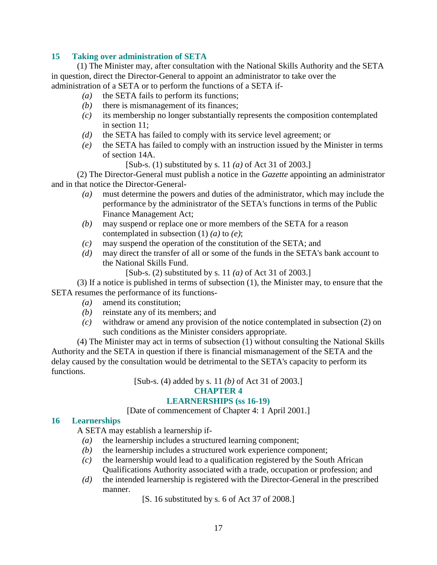## **15 Taking over administration of SETA**

 (1) The Minister may, after consultation with the National Skills Authority and the SETA in question, direct the Director-General to appoint an administrator to take over the administration of a SETA or to perform the functions of a SETA if-

- *(a)* the SETA fails to perform its functions;
- *(b)* there is mismanagement of its finances;
- *(c)* its membership no longer substantially represents the composition contemplated in section 11;
- *(d)* the SETA has failed to comply with its service level agreement; or
- *(e)* the SETA has failed to comply with an instruction issued by the Minister in terms of section 14A.

[Sub-s. (1) substituted by s. 11 *(a)* of Act 31 of 2003.]

 (2) The Director-General must publish a notice in the *Gazette* appointing an administrator and in that notice the Director-General-

- *(a)* must determine the powers and duties of the administrator, which may include the performance by the administrator of the SETA's functions in terms of the Public Finance Management Act;
- *(b)* may suspend or replace one or more members of the SETA for a reason contemplated in subsection (1) *(a)* to *(e)*;
- *(c)* may suspend the operation of the constitution of the SETA; and
- *(d)* may direct the transfer of all or some of the funds in the SETA's bank account to the National Skills Fund.

[Sub-s. (2) substituted by s. 11 *(a)* of Act 31 of 2003.]

 (3) If a notice is published in terms of subsection (1), the Minister may, to ensure that the SETA resumes the performance of its functions-

- *(a)* amend its constitution;
- *(b)* reinstate any of its members; and
- *(c)* withdraw or amend any provision of the notice contemplated in subsection (2) on such conditions as the Minister considers appropriate.

 (4) The Minister may act in terms of subsection (1) without consulting the National Skills Authority and the SETA in question if there is financial mismanagement of the SETA and the delay caused by the consultation would be detrimental to the SETA's capacity to perform its functions.

[Sub-s. (4) added by s. 11 *(b)* of Act 31 of 2003.]

#### **CHAPTER 4**

## **LEARNERSHIPS (ss 16-19)**

[Date of commencement of Chapter 4: 1 April 2001.]

#### **16 Learnerships**

A SETA may establish a learnership if-

- *(a)* the learnership includes a structured learning component;
- *(b)* the learnership includes a structured work experience component;
- *(c)* the learnership would lead to a qualification registered by the South African Qualifications Authority associated with a trade, occupation or profession; and
- *(d)* the intended learnership is registered with the Director-General in the prescribed manner.
	- [S. 16 substituted by s. 6 of Act 37 of 2008.]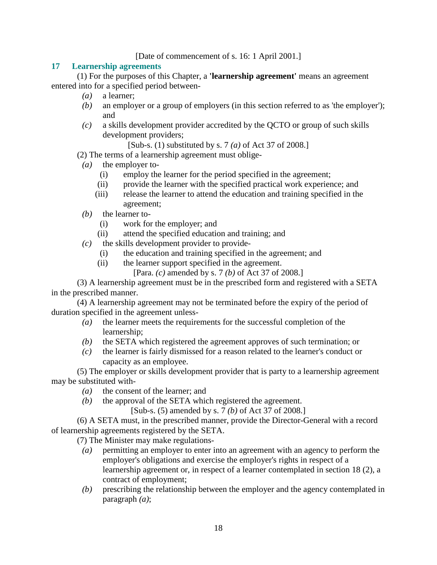[Date of commencement of s. 16: 1 April 2001.]

#### **17 Learnership agreements**

 (1) For the purposes of this Chapter, a **'learnership agreement'** means an agreement entered into for a specified period between-

- *(a)* a learner;
- *(b)* an employer or a group of employers (in this section referred to as 'the employer'); and
- *(c)* a skills development provider accredited by the QCTO or group of such skills development providers;
	- [Sub-s. (1) substituted by s. 7 *(a)* of Act 37 of 2008.]
- (2) The terms of a learnership agreement must oblige-
	- *(a)* the employer to-
		- (i) employ the learner for the period specified in the agreement;
		- (ii) provide the learner with the specified practical work experience; and
		- (iii) release the learner to attend the education and training specified in the agreement;
	- *(b)* the learner to-
		- (i) work for the employer; and
		- (ii) attend the specified education and training; and
	- *(c)* the skills development provider to provide-
		- (i) the education and training specified in the agreement; and
		- (ii) the learner support specified in the agreement.
			- [Para. *(c)* amended by s. 7 *(b)* of Act 37 of 2008.]

 (3) A learnership agreement must be in the prescribed form and registered with a SETA in the prescribed manner.

 (4) A learnership agreement may not be terminated before the expiry of the period of duration specified in the agreement unless-

- *(a)* the learner meets the requirements for the successful completion of the learnership;
- *(b)* the SETA which registered the agreement approves of such termination; or
- *(c)* the learner is fairly dismissed for a reason related to the learner's conduct or capacity as an employee.

 (5) The employer or skills development provider that is party to a learnership agreement may be substituted with-

- *(a)* the consent of the learner; and
- *(b)* the approval of the SETA which registered the agreement.
	- [Sub-s. (5) amended by s. 7 *(b)* of Act 37 of 2008.]

 (6) A SETA must, in the prescribed manner, provide the Director-General with a record of learnership agreements registered by the SETA.

(7) The Minister may make regulations-

- *(a)* permitting an employer to enter into an agreement with an agency to perform the employer's obligations and exercise the employer's rights in respect of a learnership agreement or, in respect of a learner contemplated in section 18 (2), a contract of employment;
- *(b)* prescribing the relationship between the employer and the agency contemplated in paragraph *(a)*;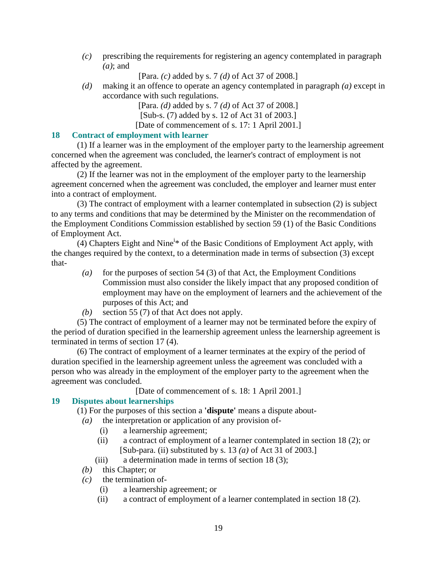*(c)* prescribing the requirements for registering an agency contemplated in paragraph *(a)*; and

[Para. *(c)* added by s. 7 *(d)* of Act 37 of 2008.]

 *(d)* making it an offence to operate an agency contemplated in paragraph *(a)* except in accordance with such regulations.

[Para. *(d)* added by s. 7 *(d)* of Act 37 of 2008.]

[Sub-s. (7) added by s. 12 of Act 31 of 2003.]

[Date of commencement of s. 17: 1 April 2001.]

#### **18 Contract of employment with learner**

 (1) If a learner was in the employment of the employer party to the learnership agreement concerned when the agreement was concluded, the learner's contract of employment is not affected by the agreement.

 (2) If the learner was not in the employment of the employer party to the learnership agreement concerned when the agreement was concluded, the employer and learner must enter into a contract of employment.

 (3) The contract of employment with a learner contemplated in subsection (2) is subject to any terms and conditions that may be determined by the Minister on the recommendation of the Employment Conditions Commission established by section 59 (1) of the Basic Conditions of Employment Act.

 $(4)$  Chapters Eight and Nine<sup>i\*</sup> of the Basic Conditions of Employment Act apply, with the changes required by the context, to a determination made in terms of subsection (3) except that-

- *(a)* for the purposes of section 54 (3) of that Act, the Employment Conditions Commission must also consider the likely impact that any proposed condition of employment may have on the employment of learners and the achievement of the purposes of this Act; and
- *(b)* section 55 (7) of that Act does not apply.

 (5) The contract of employment of a learner may not be terminated before the expiry of the period of duration specified in the learnership agreement unless the learnership agreement is terminated in terms of section 17 (4).

 (6) The contract of employment of a learner terminates at the expiry of the period of duration specified in the learnership agreement unless the agreement was concluded with a person who was already in the employment of the employer party to the agreement when the agreement was concluded.

[Date of commencement of s. 18: 1 April 2001.]

#### **19 Disputes about learnerships**

(1) For the purposes of this section a **'dispute'** means a dispute about-

*(a)* the interpretation or application of any provision of-

- (i) a learnership agreement;
- (ii) a contract of employment of a learner contemplated in section 18 (2); or [Sub-para. (ii) substituted by s. 13 *(a)* of Act 31 of 2003.]
- (iii) a determination made in terms of section 18 (3);
- *(b)* this Chapter; or
- $(c)$  the termination of-
	- (i) a learnership agreement; or
	- (ii) a contract of employment of a learner contemplated in section 18 (2).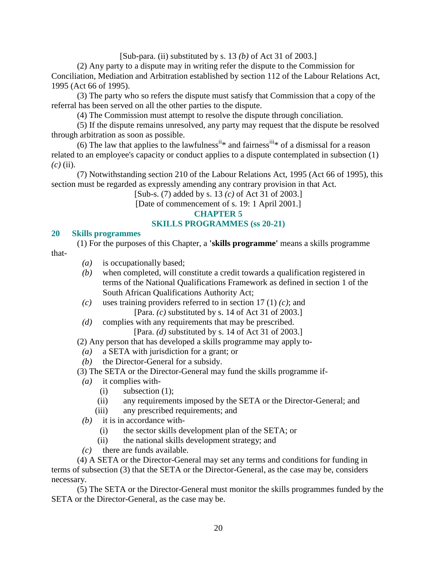[Sub-para. (ii) substituted by s. 13 *(b)* of Act 31 of 2003.]

 (2) Any party to a dispute may in writing refer the dispute to the Commission for Conciliation, Mediation and Arbitration established by section 112 of the Labour Relations Act, 1995 (Act 66 of 1995).

 (3) The party who so refers the dispute must satisfy that Commission that a copy of the referral has been served on all the other parties to the dispute.

(4) The Commission must attempt to resolve the dispute through conciliation.

 (5) If the dispute remains unresolved, any party may request that the dispute be resolved through arbitration as soon as possible.

(6) The law that applies to the lawfulness<sup>ii<sub>\*</sub></sup> and fairness<sup>iii\*</sup> of a dismissal for a reason related to an employee's capacity or conduct applies to a dispute contemplated in subsection (1)  $(c)$  (ii).

 (7) Notwithstanding section 210 of the Labour Relations Act, 1995 (Act 66 of 1995), this section must be regarded as expressly amending any contrary provision in that Act.

[Sub-s. (7) added by s. 13 *(c)* of Act 31 of 2003.]

[Date of commencement of s. 19: 1 April 2001.]

## **CHAPTER 5 SKILLS PROGRAMMES (ss 20-21)**

#### **20 Skills programmes**

 (1) For the purposes of this Chapter, a **'skills programme'** means a skills programme that-

- *(a)* is occupationally based;
- *(b)* when completed, will constitute a credit towards a qualification registered in terms of the National Qualifications Framework as defined in section 1 of the South African Qualifications Authority Act;
- *(c)* uses training providers referred to in section 17 (1) *(c)*; and [Para. *(c)* substituted by s. 14 of Act 31 of 2003.]
- *(d)* complies with any requirements that may be prescribed.

[Para. *(d)* substituted by s. 14 of Act 31 of 2003.]

(2) Any person that has developed a skills programme may apply to-

- *(a)* a SETA with jurisdiction for a grant; or
- *(b)* the Director-General for a subsidy.
- (3) The SETA or the Director-General may fund the skills programme if-
- *(a)* it complies with-
	- $(i)$  subsection  $(1)$ ;
	- (ii) any requirements imposed by the SETA or the Director-General; and
	- (iii) any prescribed requirements; and
- *(b)* it is in accordance with-
	- (i) the sector skills development plan of the SETA; or
	- (ii) the national skills development strategy; and
- *(c)* there are funds available.

 (4) A SETA or the Director-General may set any terms and conditions for funding in terms of subsection (3) that the SETA or the Director-General, as the case may be, considers necessary.

 (5) The SETA or the Director-General must monitor the skills programmes funded by the SETA or the Director-General, as the case may be.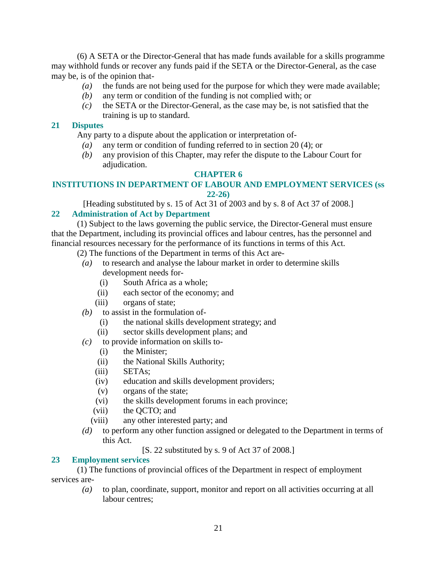(6) A SETA or the Director-General that has made funds available for a skills programme may withhold funds or recover any funds paid if the SETA or the Director-General, as the case may be, is of the opinion that-

- *(a)* the funds are not being used for the purpose for which they were made available;
- *(b)* any term or condition of the funding is not complied with; or
- *(c)* the SETA or the Director-General, as the case may be, is not satisfied that the training is up to standard.

#### **21 Disputes**

Any party to a dispute about the application or interpretation of-

- *(a)* any term or condition of funding referred to in section 20 (4); or
- *(b)* any provision of this Chapter, may refer the dispute to the Labour Court for adjudication.

## **CHAPTER 6**

## **INSTITUTIONS IN DEPARTMENT OF LABOUR AND EMPLOYMENT SERVICES (ss 22-26)**

[Heading substituted by s. 15 of Act 31 of 2003 and by s. 8 of Act 37 of 2008.]

## **22 Administration of Act by Department**

 (1) Subject to the laws governing the public service, the Director-General must ensure that the Department, including its provincial offices and labour centres, has the personnel and financial resources necessary for the performance of its functions in terms of this Act.

- (2) The functions of the Department in terms of this Act are-
- *(a)* to research and analyse the labour market in order to determine skills development needs for-
	- (i) South Africa as a whole;
	- (ii) each sector of the economy; and
	- (iii) organs of state;
- *(b)* to assist in the formulation of-
	- (i) the national skills development strategy; and
	- (ii) sector skills development plans; and
- *(c)* to provide information on skills to-
	- (i) the Minister;
	- (ii) the National Skills Authority;
	- (iii) SETAs;
	- (iv) education and skills development providers;
	- (v) organs of the state;
	- (vi) the skills development forums in each province;
	- (vii) the QCTO; and
	- (viii) any other interested party; and
- *(d)* to perform any other function assigned or delegated to the Department in terms of this Act.
	- [S. 22 substituted by s. 9 of Act 37 of 2008.]

#### **23 Employment services**

 (1) The functions of provincial offices of the Department in respect of employment services are-

 *(a)* to plan, coordinate, support, monitor and report on all activities occurring at all labour centres;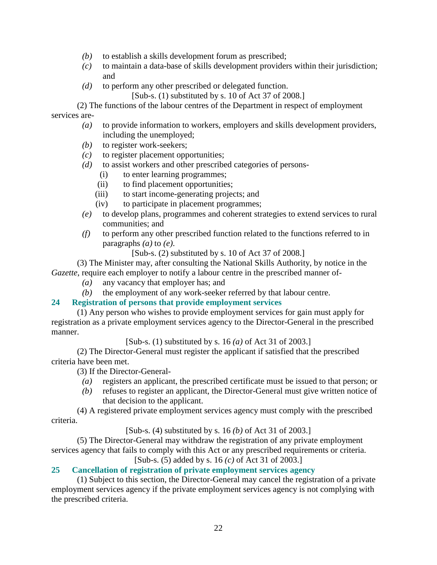- *(b)* to establish a skills development forum as prescribed;
- *(c)* to maintain a data-base of skills development providers within their jurisdiction; and
- *(d)* to perform any other prescribed or delegated function.

[Sub-s. (1) substituted by s. 10 of Act 37 of 2008.]

 (2) The functions of the labour centres of the Department in respect of employment services are-

- *(a)* to provide information to workers, employers and skills development providers, including the unemployed;
- *(b)* to register work-seekers;
- *(c)* to register placement opportunities;
- *(d)* to assist workers and other prescribed categories of persons-
	- (i) to enter learning programmes;
	- (ii) to find placement opportunities;
	- (iii) to start income-generating projects; and
	- (iv) to participate in placement programmes;
- *(e)* to develop plans, programmes and coherent strategies to extend services to rural communities; and
- *(f)* to perform any other prescribed function related to the functions referred to in paragraphs *(a)* to *(e)*.

[Sub-s. (2) substituted by s. 10 of Act 37 of 2008.]

 (3) The Minister may, after consulting the National Skills Authority, by notice in the *Gazette*, require each employer to notify a labour centre in the prescribed manner of-

- *(a)* any vacancy that employer has; and
- *(b)* the employment of any work-seeker referred by that labour centre.

## **24 Registration of persons that provide employment services**

 (1) Any person who wishes to provide employment services for gain must apply for registration as a private employment services agency to the Director-General in the prescribed manner.

[Sub-s. (1) substituted by s. 16 *(a)* of Act 31 of 2003.]

 (2) The Director-General must register the applicant if satisfied that the prescribed criteria have been met.

(3) If the Director-General-

- *(a)* registers an applicant, the prescribed certificate must be issued to that person; or
- *(b)* refuses to register an applicant, the Director-General must give written notice of that decision to the applicant.

 (4) A registered private employment services agency must comply with the prescribed criteria.

[Sub-s. (4) substituted by s. 16 *(b)* of Act 31 of 2003.]

 (5) The Director-General may withdraw the registration of any private employment services agency that fails to comply with this Act or any prescribed requirements or criteria.

[Sub-s. (5) added by s. 16 *(c)* of Act 31 of 2003.]

#### **25 Cancellation of registration of private employment services agency**

 (1) Subject to this section, the Director-General may cancel the registration of a private employment services agency if the private employment services agency is not complying with the prescribed criteria.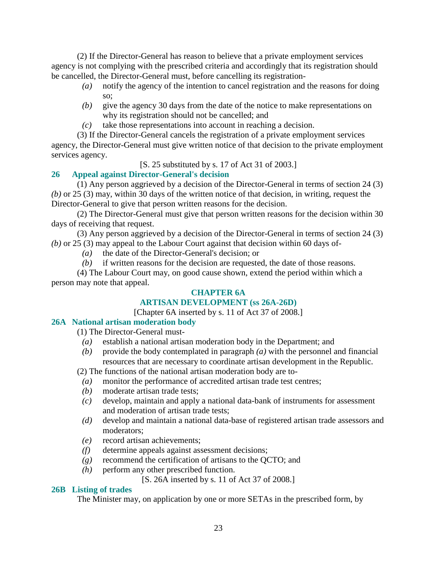(2) If the Director-General has reason to believe that a private employment services agency is not complying with the prescribed criteria and accordingly that its registration should be cancelled, the Director-General must, before cancelling its registration-

- *(a)* notify the agency of the intention to cancel registration and the reasons for doing so;
- *(b)* give the agency 30 days from the date of the notice to make representations on why its registration should not be cancelled; and
- *(c)* take those representations into account in reaching a decision.

 (3) If the Director-General cancels the registration of a private employment services agency, the Director-General must give written notice of that decision to the private employment services agency.

[S. 25 substituted by s. 17 of Act 31 of 2003.]

## **26 Appeal against Director-General's decision**

 (1) Any person aggrieved by a decision of the Director-General in terms of section 24 (3) *(b)* or 25 (3) may, within 30 days of the written notice of that decision, in writing, request the Director-General to give that person written reasons for the decision.

 (2) The Director-General must give that person written reasons for the decision within 30 days of receiving that request.

 (3) Any person aggrieved by a decision of the Director-General in terms of section 24 (3) *(b)* or 25 (3) may appeal to the Labour Court against that decision within 60 days of-

- *(a)* the date of the Director-General's decision; or
- *(b)* if written reasons for the decision are requested, the date of those reasons.

 (4) The Labour Court may, on good cause shown, extend the period within which a person may note that appeal.

## **CHAPTER 6A**

## **ARTISAN DEVELOPMENT (ss 26A-26D)**

[Chapter 6A inserted by s. 11 of Act 37 of 2008.]

## **26A National artisan moderation body**

(1) The Director-General must-

- *(a)* establish a national artisan moderation body in the Department; and
- *(b)* provide the body contemplated in paragraph *(a)* with the personnel and financial resources that are necessary to coordinate artisan development in the Republic.

(2) The functions of the national artisan moderation body are to-

- *(a)* monitor the performance of accredited artisan trade test centres;
- *(b)* moderate artisan trade tests;
- *(c)* develop, maintain and apply a national data-bank of instruments for assessment and moderation of artisan trade tests;
- *(d)* develop and maintain a national data-base of registered artisan trade assessors and moderators;
- *(e)* record artisan achievements;
- *(f)* determine appeals against assessment decisions;
- *(g)* recommend the certification of artisans to the QCTO; and
- *(h)* perform any other prescribed function.

[S. 26A inserted by s. 11 of Act 37 of 2008.]

## **26B Listing of trades**

The Minister may, on application by one or more SETAs in the prescribed form, by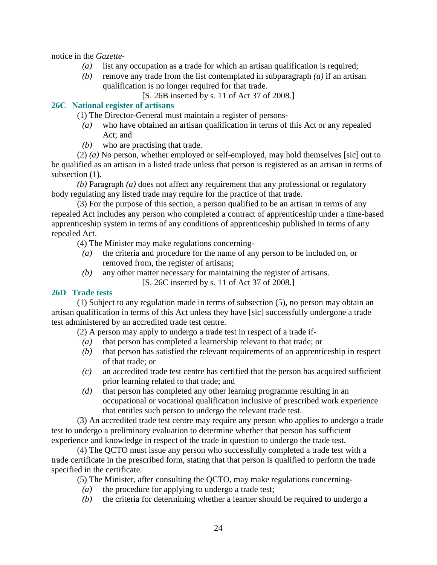notice in the *Gazette*-

- *(a)* list any occupation as a trade for which an artisan qualification is required;
- *(b)* remove any trade from the list contemplated in subparagraph *(a)* if an artisan qualification is no longer required for that trade.
	- [S. 26B inserted by s. 11 of Act 37 of 2008.]

## **26C National register of artisans**

- (1) The Director-General must maintain a register of persons-
	- *(a)* who have obtained an artisan qualification in terms of this Act or any repealed Act; and
	- *(b)* who are practising that trade.

 (2) *(a)* No person, whether employed or self-employed, may hold themselves [sic] out to be qualified as an artisan in a listed trade unless that person is registered as an artisan in terms of subsection  $(1)$ .

*(b)* Paragraph *(a)* does not affect any requirement that any professional or regulatory body regulating any listed trade may require for the practice of that trade.

 (3) For the purpose of this section, a person qualified to be an artisan in terms of any repealed Act includes any person who completed a contract of apprenticeship under a time-based apprenticeship system in terms of any conditions of apprenticeship published in terms of any repealed Act.

(4) The Minister may make regulations concerning-

- *(a)* the criteria and procedure for the name of any person to be included on, or removed from, the register of artisans;
- *(b)* any other matter necessary for maintaining the register of artisans.
	- [S. 26C inserted by s. 11 of Act 37 of 2008.]

## **26D Trade tests**

 (1) Subject to any regulation made in terms of subsection (5), no person may obtain an artisan qualification in terms of this Act unless they have [sic] successfully undergone a trade test administered by an accredited trade test centre.

(2) A person may apply to undergo a trade test in respect of a trade if-

- *(a)* that person has completed a learnership relevant to that trade; or
- *(b)* that person has satisfied the relevant requirements of an apprenticeship in respect of that trade; or
- *(c)* an accredited trade test centre has certified that the person has acquired sufficient prior learning related to that trade; and
- *(d)* that person has completed any other learning programme resulting in an occupational or vocational qualification inclusive of prescribed work experience that entitles such person to undergo the relevant trade test.

 (3) An accredited trade test centre may require any person who applies to undergo a trade test to undergo a preliminary evaluation to determine whether that person has sufficient experience and knowledge in respect of the trade in question to undergo the trade test.

 (4) The QCTO must issue any person who successfully completed a trade test with a trade certificate in the prescribed form, stating that that person is qualified to perform the trade specified in the certificate.

(5) The Minister, after consulting the QCTO, may make regulations concerning-

- *(a)* the procedure for applying to undergo a trade test;
- *(b)* the criteria for determining whether a learner should be required to undergo a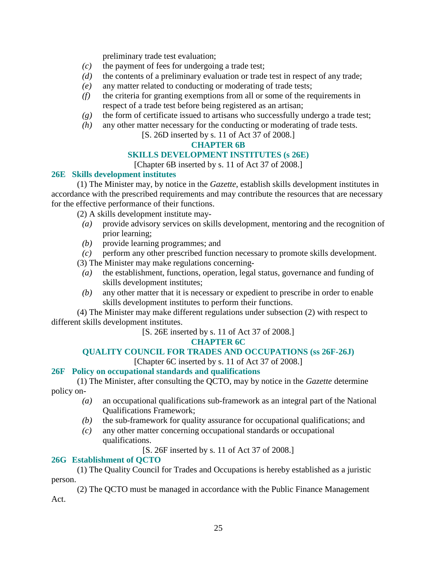preliminary trade test evaluation;

- *(c)* the payment of fees for undergoing a trade test;
- *(d)* the contents of a preliminary evaluation or trade test in respect of any trade;
- *(e)* any matter related to conducting or moderating of trade tests;
- *(f)* the criteria for granting exemptions from all or some of the requirements in respect of a trade test before being registered as an artisan;
- *(g)* the form of certificate issued to artisans who successfully undergo a trade test;
- *(h)* any other matter necessary for the conducting or moderating of trade tests.

[S. 26D inserted by s. 11 of Act 37 of 2008.]

#### **CHAPTER 6B**

## **SKILLS DEVELOPMENT INSTITUTES (s 26E)**

[Chapter 6B inserted by s. 11 of Act 37 of 2008.]

#### **26E Skills development institutes**

 (1) The Minister may, by notice in the *Gazette*, establish skills development institutes in accordance with the prescribed requirements and may contribute the resources that are necessary for the effective performance of their functions.

(2) A skills development institute may-

- *(a)* provide advisory services on skills development, mentoring and the recognition of prior learning;
- *(b)* provide learning programmes; and
- *(c)* perform any other prescribed function necessary to promote skills development.

(3) The Minister may make regulations concerning-

- *(a)* the establishment, functions, operation, legal status, governance and funding of skills development institutes;
- *(b)* any other matter that it is necessary or expedient to prescribe in order to enable skills development institutes to perform their functions.

 (4) The Minister may make different regulations under subsection (2) with respect to different skills development institutes.

[S. 26E inserted by s. 11 of Act 37 of 2008.]

## **CHAPTER 6C**

## **QUALITY COUNCIL FOR TRADES AND OCCUPATIONS (ss 26F-26J)**

[Chapter 6C inserted by s. 11 of Act 37 of 2008.]

#### **26F Policy on occupational standards and qualifications**

 (1) The Minister, after consulting the QCTO, may by notice in the *Gazette* determine policy on-

- *(a)* an occupational qualifications sub-framework as an integral part of the National Qualifications Framework;
- *(b)* the sub-framework for quality assurance for occupational qualifications; and
- *(c)* any other matter concerning occupational standards or occupational qualifications.

[S. 26F inserted by s. 11 of Act 37 of 2008.]

## **26G Establishment of QCTO**

 (1) The Quality Council for Trades and Occupations is hereby established as a juristic person.

 (2) The QCTO must be managed in accordance with the Public Finance Management Act.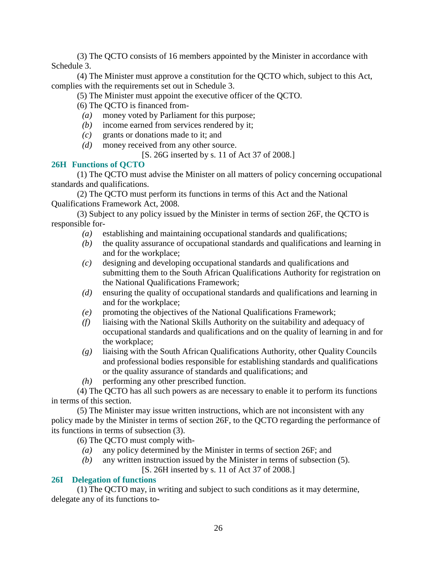(3) The QCTO consists of 16 members appointed by the Minister in accordance with Schedule 3.

 (4) The Minister must approve a constitution for the QCTO which, subject to this Act, complies with the requirements set out in Schedule 3.

(5) The Minister must appoint the executive officer of the QCTO.

(6) The QCTO is financed from-

- *(a)* money voted by Parliament for this purpose;
- *(b)* income earned from services rendered by it;
- *(c)* grants or donations made to it; and
- *(d)* money received from any other source.

[S. 26G inserted by s. 11 of Act 37 of 2008.]

## **26H Functions of QCTO**

 (1) The QCTO must advise the Minister on all matters of policy concerning occupational standards and qualifications.

 (2) The QCTO must perform its functions in terms of this Act and the National Qualifications Framework Act, 2008.

 (3) Subject to any policy issued by the Minister in terms of section 26F, the QCTO is responsible for-

- *(a)* establishing and maintaining occupational standards and qualifications;
- *(b)* the quality assurance of occupational standards and qualifications and learning in and for the workplace;
- *(c)* designing and developing occupational standards and qualifications and submitting them to the South African Qualifications Authority for registration on the National Qualifications Framework;
- *(d)* ensuring the quality of occupational standards and qualifications and learning in and for the workplace;
- *(e)* promoting the objectives of the National Qualifications Framework;
- *(f)* liaising with the National Skills Authority on the suitability and adequacy of occupational standards and qualifications and on the quality of learning in and for the workplace;
- *(g)* liaising with the South African Qualifications Authority, other Quality Councils and professional bodies responsible for establishing standards and qualifications or the quality assurance of standards and qualifications; and
- *(h)* performing any other prescribed function.

 (4) The QCTO has all such powers as are necessary to enable it to perform its functions in terms of this section.

 (5) The Minister may issue written instructions, which are not inconsistent with any policy made by the Minister in terms of section 26F, to the QCTO regarding the performance of its functions in terms of subsection (3).

(6) The QCTO must comply with-

- *(a)* any policy determined by the Minister in terms of section 26F; and
- *(b)* any written instruction issued by the Minister in terms of subsection (5).
	- [S. 26H inserted by s. 11 of Act 37 of 2008.]

## **26I Delegation of functions**

 (1) The QCTO may, in writing and subject to such conditions as it may determine, delegate any of its functions to-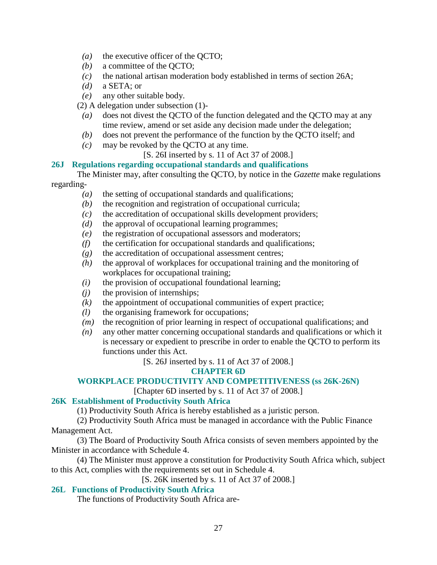- *(a)* the executive officer of the QCTO;
- *(b)* a committee of the QCTO;
- *(c)* the national artisan moderation body established in terms of section 26A;
- *(d)* a SETA; or
- *(e)* any other suitable body.
- (2) A delegation under subsection (1)-
- *(a)* does not divest the QCTO of the function delegated and the QCTO may at any time review, amend or set aside any decision made under the delegation;
- *(b)* does not prevent the performance of the function by the QCTO itself; and
- *(c)* may be revoked by the QCTO at any time.
	- [S. 26I inserted by s. 11 of Act 37 of 2008.]

#### **26J Regulations regarding occupational standards and qualifications**

 The Minister may, after consulting the QCTO, by notice in the *Gazette* make regulations regarding-

- *(a)* the setting of occupational standards and qualifications;
- *(b)* the recognition and registration of occupational curricula;
- *(c)* the accreditation of occupational skills development providers;
- *(d)* the approval of occupational learning programmes;
- *(e)* the registration of occupational assessors and moderators;
- *(f)* the certification for occupational standards and qualifications;
- *(g)* the accreditation of occupational assessment centres;
- *(h)* the approval of workplaces for occupational training and the monitoring of workplaces for occupational training;
- *(i)* the provision of occupational foundational learning;
- *(j)* the provision of internships;
- $(k)$  the appointment of occupational communities of expert practice;
- *(l)* the organising framework for occupations;
- *(m)* the recognition of prior learning in respect of occupational qualifications; and
- *(n)* any other matter concerning occupational standards and qualifications or which it is necessary or expedient to prescribe in order to enable the QCTO to perform its functions under this Act.

[S. 26J inserted by s. 11 of Act 37 of 2008.]

#### **CHAPTER 6D**

#### **WORKPLACE PRODUCTIVITY AND COMPETITIVENESS (ss 26K-26N)**

[Chapter 6D inserted by s. 11 of Act 37 of 2008.]

#### **26K Establishment of Productivity South Africa**

(1) Productivity South Africa is hereby established as a juristic person.

 (2) Productivity South Africa must be managed in accordance with the Public Finance Management Act.

 (3) The Board of Productivity South Africa consists of seven members appointed by the Minister in accordance with Schedule 4.

 (4) The Minister must approve a constitution for Productivity South Africa which, subject to this Act, complies with the requirements set out in Schedule 4.

[S. 26K inserted by s. 11 of Act 37 of 2008.]

## **26L Functions of Productivity South Africa**

The functions of Productivity South Africa are-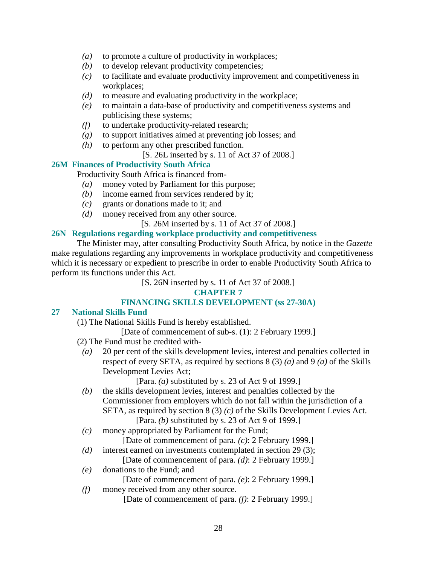- *(a)* to promote a culture of productivity in workplaces;
- *(b)* to develop relevant productivity competencies;
- *(c)* to facilitate and evaluate productivity improvement and competitiveness in workplaces;
- *(d)* to measure and evaluating productivity in the workplace;
- *(e)* to maintain a data-base of productivity and competitiveness systems and publicising these systems;
- *(f)* to undertake productivity-related research;
- *(g)* to support initiatives aimed at preventing job losses; and
- *(h)* to perform any other prescribed function.
	- [S. 26L inserted by s. 11 of Act 37 of 2008.]

#### **26M Finances of Productivity South Africa**

Productivity South Africa is financed from-

- *(a)* money voted by Parliament for this purpose;
- *(b)* income earned from services rendered by it;
- *(c)* grants or donations made to it; and
- *(d)* money received from any other source.

[S. 26M inserted by s. 11 of Act 37 of 2008.]

#### **26N Regulations regarding workplace productivity and competitiveness**

 The Minister may, after consulting Productivity South Africa, by notice in the *Gazette* make regulations regarding any improvements in workplace productivity and competitiveness which it is necessary or expedient to prescribe in order to enable Productivity South Africa to perform its functions under this Act.

[S. 26N inserted by s. 11 of Act 37 of 2008.]

#### **CHAPTER 7**

## **FINANCING SKILLS DEVELOPMENT (ss 27-30A)**

#### **27 National Skills Fund**

(1) The National Skills Fund is hereby established.

[Date of commencement of sub-s. (1): 2 February 1999.]

- (2) The Fund must be credited with-
	- *(a)* 20 per cent of the skills development levies, interest and penalties collected in respect of every SETA, as required by sections 8 (3) *(a)* and 9 *(a)* of the Skills Development Levies Act;

[Para. *(a)* substituted by s. 23 of Act 9 of 1999.]

 *(b)* the skills development levies, interest and penalties collected by the Commissioner from employers which do not fall within the jurisdiction of a SETA, as required by section 8 (3) *(c)* of the Skills Development Levies Act.

[Para. *(b)* substituted by s. 23 of Act 9 of 1999.]

*(c)* money appropriated by Parliament for the Fund;

[Date of commencement of para. *(c)*: 2 February 1999.]

*(d)* interest earned on investments contemplated in section 29 (3);

[Date of commencement of para. *(d)*: 2 February 1999.]

*(e)* donations to the Fund; and

[Date of commencement of para. *(e)*: 2 February 1999.]

*(f)* money received from any other source.

[Date of commencement of para. *(f)*: 2 February 1999.]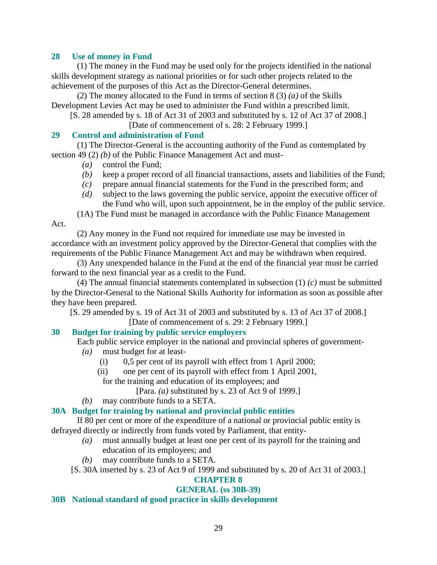#### **28 Use of money in Fund**

 (1) The money in the Fund may be used only for the projects identified in the national skills development strategy as national priorities or for such other projects related to the achievement of the purposes of this Act as the Director-General determines.

 (2) The money allocated to the Fund in terms of section 8 (3) *(a)* of the Skills Development Levies Act may be used to administer the Fund within a prescribed limit.

[S. 28 amended by s. 18 of Act 31 of 2003 and substituted by s. 12 of Act 37 of 2008.]

[Date of commencement of s. 28: 2 February 1999.]

#### **29 Control and administration of Fund**

 (1) The Director-General is the accounting authority of the Fund as contemplated by section 49 (2) *(b)* of the Public Finance Management Act and must-

*(a)* control the Fund;

Act.

- *(b)* keep a proper record of all financial transactions, assets and liabilities of the Fund;
- *(c)* prepare annual financial statements for the Fund in the prescribed form; and
- *(d)* subject to the laws governing the public service, appoint the executive officer of the Fund who will, upon such appointment, be in the employ of the public service.
- (1A) The Fund must be managed in accordance with the Public Finance Management

 (2) Any money in the Fund not required for immediate use may be invested in accordance with an investment policy approved by the Director-General that complies with the requirements of the Public Finance Management Act and may be withdrawn when required.

 (3) Any unexpended balance in the Fund at the end of the financial year must be carried forward to the next financial year as a credit to the Fund.

 (4) The annual financial statements contemplated in subsection (1) *(c)* must be submitted by the Director-General to the National Skills Authority for information as soon as possible after they have been prepared.

[S. 29 amended by s. 19 of Act 31 of 2003 and substituted by s. 13 of Act 37 of 2008.] [Date of commencement of s. 29: 2 February 1999.]

## **30 Budget for training by public service employers**

Each public service employer in the national and provincial spheres of government-

- *(a)* must budget for at least-
	- (i) 0,5 per cent of its payroll with effect from 1 April 2000;
	- (ii) one per cent of its payroll with effect from 1 April 2001,

for the training and education of its employees; and

- [Para. *(a)* substituted by s. 23 of Act 9 of 1999.]
- *(b)* may contribute funds to a SETA.

## **30A Budget for training by national and provincial public entities**

 If 80 per cent or more of the expenditure of a national or provincial public entity is defrayed directly or indirectly from funds voted by Parliament, that entity-

- *(a)* must annually budget at least one per cent of its payroll for the training and education of its employees; and
- *(b)* may contribute funds to a SETA.
- [S. 30A inserted by s. 23 of Act 9 of 1999 and substituted by s. 20 of Act 31 of 2003.]

## **CHAPTER 8**

## **GENERAL (ss 30B-39)**

## **30B National standard of good practice in skills development**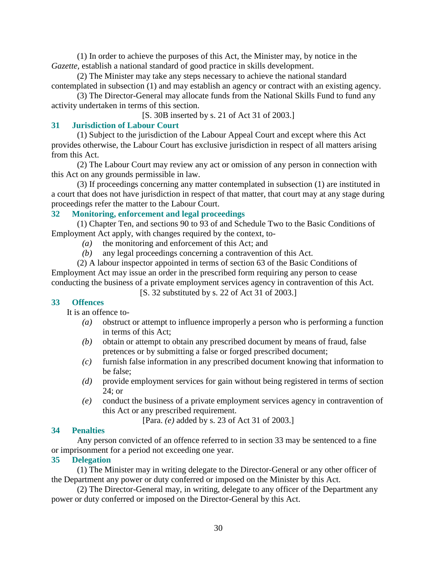(1) In order to achieve the purposes of this Act, the Minister may, by notice in the *Gazette*, establish a national standard of good practice in skills development.

 (2) The Minister may take any steps necessary to achieve the national standard contemplated in subsection (1) and may establish an agency or contract with an existing agency.

 (3) The Director-General may allocate funds from the National Skills Fund to fund any activity undertaken in terms of this section.

[S. 30B inserted by s. 21 of Act 31 of 2003.]

## **31 Jurisdiction of Labour Court**

 (1) Subject to the jurisdiction of the Labour Appeal Court and except where this Act provides otherwise, the Labour Court has exclusive jurisdiction in respect of all matters arising from this Act.

 (2) The Labour Court may review any act or omission of any person in connection with this Act on any grounds permissible in law.

 (3) If proceedings concerning any matter contemplated in subsection (1) are instituted in a court that does not have jurisdiction in respect of that matter, that court may at any stage during proceedings refer the matter to the Labour Court.

## **32 Monitoring, enforcement and legal proceedings**

 (1) Chapter Ten, and sections 90 to 93 of and Schedule Two to the Basic Conditions of Employment Act apply, with changes required by the context, to-

- *(a)* the monitoring and enforcement of this Act; and
- *(b)* any legal proceedings concerning a contravention of this Act.

 (2) A labour inspector appointed in terms of section 63 of the Basic Conditions of Employment Act may issue an order in the prescribed form requiring any person to cease conducting the business of a private employment services agency in contravention of this Act.

[S. 32 substituted by s. 22 of Act 31 of 2003.]

## **33 Offences**

It is an offence to-

- *(a)* obstruct or attempt to influence improperly a person who is performing a function in terms of this Act;
- *(b)* obtain or attempt to obtain any prescribed document by means of fraud, false pretences or by submitting a false or forged prescribed document;
- *(c)* furnish false information in any prescribed document knowing that information to be false;
- *(d)* provide employment services for gain without being registered in terms of section 24; or
- *(e)* conduct the business of a private employment services agency in contravention of this Act or any prescribed requirement.

[Para. *(e)* added by s. 23 of Act 31 of 2003.]

## **34 Penalties**

 Any person convicted of an offence referred to in section 33 may be sentenced to a fine or imprisonment for a period not exceeding one year.

## **35 Delegation**

 (1) The Minister may in writing delegate to the Director-General or any other officer of the Department any power or duty conferred or imposed on the Minister by this Act.

 (2) The Director-General may, in writing, delegate to any officer of the Department any power or duty conferred or imposed on the Director-General by this Act.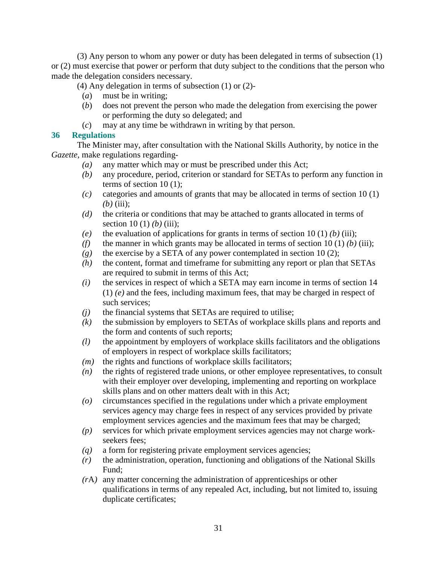(3) Any person to whom any power or duty has been delegated in terms of subsection (1) or (2) must exercise that power or perform that duty subject to the conditions that the person who made the delegation considers necessary.

(4) Any delegation in terms of subsection (1) or (2)-

- (*a*) must be in writing;
- (*b*) does not prevent the person who made the delegation from exercising the power or performing the duty so delegated; and
- (*c*) may at any time be withdrawn in writing by that person.

## **36 Regulations**

 The Minister may, after consultation with the National Skills Authority, by notice in the *Gazette*, make regulations regarding-

- *(a)* any matter which may or must be prescribed under this Act;
- *(b)* any procedure, period, criterion or standard for SETAs to perform any function in terms of section 10 (1);
- *(c)* categories and amounts of grants that may be allocated in terms of section 10 (1) *(b)* (iii);
- *(d)* the criteria or conditions that may be attached to grants allocated in terms of section 10 (1) *(b)* (iii);
- *(e)* the evaluation of applications for grants in terms of section 10 (1) *(b)* (iii);
- *(f)* the manner in which grants may be allocated in terms of section 10 (1) *(b)* (iii);
- $(g)$  the exercise by a SETA of any power contemplated in section 10 (2);
- *(h)* the content, format and timeframe for submitting any report or plan that SETAs are required to submit in terms of this Act;
- *(i)* the services in respect of which a SETA may earn income in terms of section 14 (1) *(e)* and the fees, including maximum fees, that may be charged in respect of such services;
- *(j)* the financial systems that SETAs are required to utilise;
- *(k)* the submission by employers to SETAs of workplace skills plans and reports and the form and contents of such reports;
- *(l)* the appointment by employers of workplace skills facilitators and the obligations of employers in respect of workplace skills facilitators;
- *(m)* the rights and functions of workplace skills facilitators;
- *(n)* the rights of registered trade unions, or other employee representatives, to consult with their employer over developing, implementing and reporting on workplace skills plans and on other matters dealt with in this Act;
- *(o)* circumstances specified in the regulations under which a private employment services agency may charge fees in respect of any services provided by private employment services agencies and the maximum fees that may be charged;
- *(p)* services for which private employment services agencies may not charge workseekers fees;
- *(q)* a form for registering private employment services agencies;
- *(r)* the administration, operation, functioning and obligations of the National Skills Fund;
- *(r*A*)* any matter concerning the administration of apprenticeships or other qualifications in terms of any repealed Act, including, but not limited to, issuing duplicate certificates;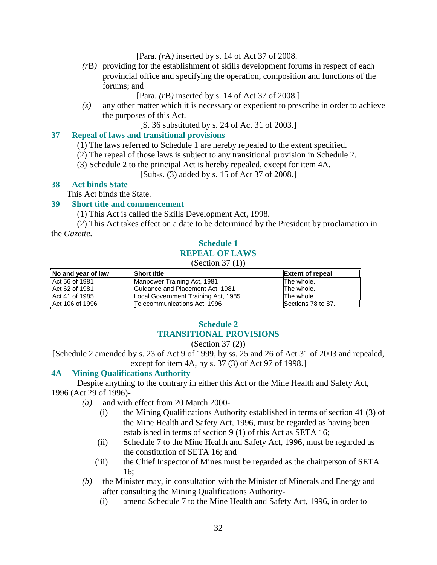[Para. *(r*A*)* inserted by s. 14 of Act 37 of 2008.]

 *(r*B*)* providing for the establishment of skills development forums in respect of each provincial office and specifying the operation, composition and functions of the forums; and

[Para. *(r*B*)* inserted by s. 14 of Act 37 of 2008.]

 *(s)* any other matter which it is necessary or expedient to prescribe in order to achieve the purposes of this Act.

[S. 36 substituted by s. 24 of Act 31 of 2003.]

#### **37 Repeal of laws and transitional provisions**

- (1) The laws referred to Schedule 1 are hereby repealed to the extent specified.
- (2) The repeal of those laws is subject to any transitional provision in Schedule 2.
- (3) Schedule 2 to the principal Act is hereby repealed, except for item 4A.
	- [Sub-s. (3) added by s. 15 of Act 37 of 2008.]

#### **38 Act binds State**

This Act binds the State.

#### **39 Short title and commencement**

(1) This Act is called the Skills Development Act, 1998.

 (2) This Act takes effect on a date to be determined by the President by proclamation in the *Gazette*.

#### **Schedule 1 REPEAL OF LAWS**

#### (Section 37 (1))

| No and year of law | <b>Short title</b>                  | <b>Extent of repeal</b> |
|--------------------|-------------------------------------|-------------------------|
| Act 56 of 1981     | Manpower Training Act, 1981         | The whole.              |
| Act 62 of 1981     | Guidance and Placement Act, 1981    | The whole.              |
| Act 41 of 1985     | Local Government Training Act, 1985 | The whole.              |
| Act 106 of 1996    | Telecommunications Act, 1996        | Sections 78 to 87.      |

#### **Schedule 2 TRANSITIONAL PROVISIONS**

(Section 37 (2))

[Schedule 2 amended by s. 23 of Act 9 of 1999, by ss. 25 and 26 of Act 31 of 2003 and repealed, except for item 4A, by s. 37 (3) of Act 97 of 1998.]

#### **4A Mining Qualifications Authority**

 Despite anything to the contrary in either this Act or the Mine Health and Safety Act, 1996 (Act 29 of 1996)-

- *(a)* and with effect from 20 March 2000-
	- (i) the Mining Qualifications Authority established in terms of section 41 (3) of the Mine Health and Safety Act, 1996, must be regarded as having been established in terms of section 9 (1) of this Act as SETA 16;
	- (ii) Schedule 7 to the Mine Health and Safety Act, 1996, must be regarded as the constitution of SETA 16; and
	- (iii) the Chief Inspector of Mines must be regarded as the chairperson of SETA 16;
- *(b)* the Minister may, in consultation with the Minister of Minerals and Energy and after consulting the Mining Qualifications Authority-
	- (i) amend Schedule 7 to the Mine Health and Safety Act, 1996, in order to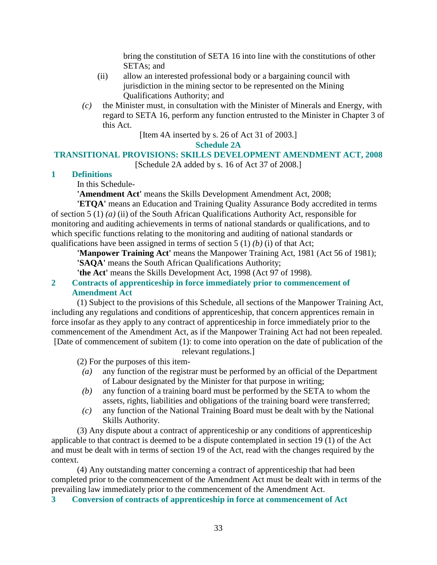bring the constitution of SETA 16 into line with the constitutions of other SETAs; and

- (ii) allow an interested professional body or a bargaining council with jurisdiction in the mining sector to be represented on the Mining Qualifications Authority; and
- *(c)* the Minister must, in consultation with the Minister of Minerals and Energy, with regard to SETA 16, perform any function entrusted to the Minister in Chapter 3 of this Act.

[Item 4A inserted by s. 26 of Act 31 of 2003.]

#### **Schedule 2A**

#### **TRANSITIONAL PROVISIONS: SKILLS DEVELOPMENT AMENDMENT ACT, 2008**

[Schedule 2A added by s. 16 of Act 37 of 2008.]

## **1 Definitions**

In this Schedule-

**'Amendment Act'** means the Skills Development Amendment Act, 2008;

**'ETQA'** means an Education and Training Quality Assurance Body accredited in terms of section 5 (1) *(a)* (ii) of the South African Qualifications Authority Act, responsible for monitoring and auditing achievements in terms of national standards or qualifications, and to which specific functions relating to the monitoring and auditing of national standards or qualifications have been assigned in terms of section 5 (1) *(b)* (i) of that Act;

**'Manpower Training Act'** means the Manpower Training Act, 1981 (Act 56 of 1981); **'SAQA'** means the South African Qualifications Authority;

**'the Act'** means the Skills Development Act, 1998 (Act 97 of 1998).

## **2 Contracts of apprenticeship in force immediately prior to commencement of Amendment Act**

 (1) Subject to the provisions of this Schedule, all sections of the Manpower Training Act, including any regulations and conditions of apprenticeship, that concern apprentices remain in force insofar as they apply to any contract of apprenticeship in force immediately prior to the commencement of the Amendment Act, as if the Manpower Training Act had not been repealed. [Date of commencement of subitem (1): to come into operation on the date of publication of the

relevant regulations.]

(2) For the purposes of this item-

- *(a)* any function of the registrar must be performed by an official of the Department of Labour designated by the Minister for that purpose in writing;
- *(b)* any function of a training board must be performed by the SETA to whom the assets, rights, liabilities and obligations of the training board were transferred;
- *(c)* any function of the National Training Board must be dealt with by the National Skills Authority.

 (3) Any dispute about a contract of apprenticeship or any conditions of apprenticeship applicable to that contract is deemed to be a dispute contemplated in section 19 (1) of the Act and must be dealt with in terms of section 19 of the Act, read with the changes required by the context.

 (4) Any outstanding matter concerning a contract of apprenticeship that had been completed prior to the commencement of the Amendment Act must be dealt with in terms of the prevailing law immediately prior to the commencement of the Amendment Act.

**3 Conversion of contracts of apprenticeship in force at commencement of Act**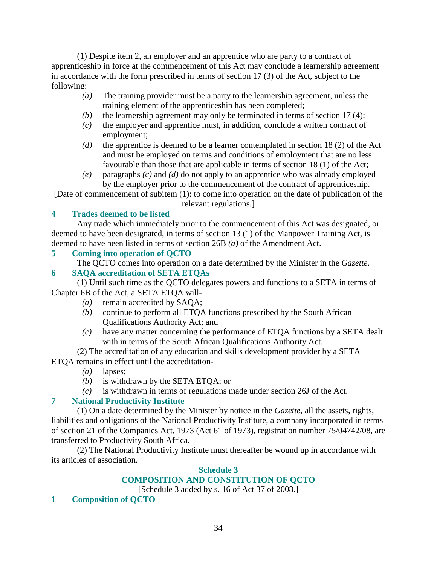(1) Despite item 2, an employer and an apprentice who are party to a contract of apprenticeship in force at the commencement of this Act may conclude a learnership agreement in accordance with the form prescribed in terms of section 17 (3) of the Act, subject to the following:

- *(a)* The training provider must be a party to the learnership agreement, unless the training element of the apprenticeship has been completed;
- *(b)* the learnership agreement may only be terminated in terms of section 17 (4);
- *(c)* the employer and apprentice must, in addition, conclude a written contract of employment;
- *(d)* the apprentice is deemed to be a learner contemplated in section 18 (2) of the Act and must be employed on terms and conditions of employment that are no less favourable than those that are applicable in terms of section 18 (1) of the Act;
- *(e)* paragraphs *(c)* and *(d)* do not apply to an apprentice who was already employed by the employer prior to the commencement of the contract of apprenticeship.

[Date of commencement of subitem (1): to come into operation on the date of publication of the relevant regulations.]

## **4 Trades deemed to be listed**

 Any trade which immediately prior to the commencement of this Act was designated, or deemed to have been designated, in terms of section 13 (1) of the Manpower Training Act, is deemed to have been listed in terms of section 26B *(a)* of the Amendment Act.

## **5 Coming into operation of QCTO**

The QCTO comes into operation on a date determined by the Minister in the *Gazette*.

## **6 SAQA accreditation of SETA ETQAs**

 (1) Until such time as the QCTO delegates powers and functions to a SETA in terms of Chapter 6B of the Act, a SETA ETQA will-

- *(a)* remain accredited by SAQA;
- *(b)* continue to perform all ETQA functions prescribed by the South African Qualifications Authority Act; and
- *(c)* have any matter concerning the performance of ETQA functions by a SETA dealt with in terms of the South African Qualifications Authority Act.

(2) The accreditation of any education and skills development provider by a SETA

- ETQA remains in effect until the accreditation-
	- *(a)* lapses;
	- *(b)* is withdrawn by the SETA ETQA; or
	- *(c)* is withdrawn in terms of regulations made under section 26J of the Act.

## **7 National Productivity Institute**

 (1) On a date determined by the Minister by notice in the *Gazette*, all the assets, rights, liabilities and obligations of the National Productivity Institute, a company incorporated in terms of section 21 of the Companies Act, 1973 (Act 61 of 1973), registration number 75/04742/08, are transferred to Productivity South Africa.

 (2) The National Productivity Institute must thereafter be wound up in accordance with its articles of association.

## **Schedule 3**

## **COMPOSITION AND CONSTITUTION OF QCTO**

[Schedule 3 added by s. 16 of Act 37 of 2008.]

## **1 Composition of QCTO**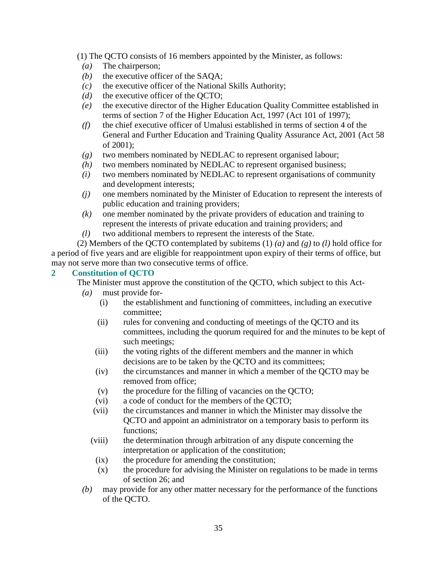(1) The QCTO consists of 16 members appointed by the Minister, as follows:

- *(a)* The chairperson;
- *(b)* the executive officer of the SAQA;
- *(c)* the executive officer of the National Skills Authority;
- *(d)* the executive officer of the QCTO;
- *(e)* the executive director of the Higher Education Quality Committee established in terms of section 7 of the Higher Education Act, 1997 (Act 101 of 1997);
- *(f)* the chief executive officer of Umalusi established in terms of section 4 of the General and Further Education and Training Quality Assurance Act, 2001 (Act 58 of 2001);
- *(g)* two members nominated by NEDLAC to represent organised labour;
- *(h)* two members nominated by NEDLAC to represent organised business;
- *(i)* two members nominated by NEDLAC to represent organisations of community and development interests;
- *(j)* one members nominated by the Minister of Education to represent the interests of public education and training providers;
- *(k)* one member nominated by the private providers of education and training to represent the interests of private education and training providers; and
- *(l)* two additional members to represent the interests of the State.

 (2) Members of the QCTO contemplated by subitems (1) *(a)* and *(g)* to *(l)* hold office for a period of five years and are eligible for reappointment upon expiry of their terms of office, but may not serve more than two consecutive terms of office.

## **2 Constitution of QCTO**

The Minister must approve the constitution of the QCTO, which subject to this Act-

- *(a)* must provide for-
	- (i) the establishment and functioning of committees, including an executive committee;
	- (ii) rules for convening and conducting of meetings of the QCTO and its committees, including the quorum required for and the minutes to be kept of such meetings;
	- (iii) the voting rights of the different members and the manner in which decisions are to be taken by the QCTO and its committees;
	- (iv) the circumstances and manner in which a member of the QCTO may be removed from office;
	- (v) the procedure for the filling of vacancies on the QCTO;
	- (vi) a code of conduct for the members of the QCTO;
	- (vii) the circumstances and manner in which the Minister may dissolve the QCTO and appoint an administrator on a temporary basis to perform its functions;
	- (viii) the determination through arbitration of any dispute concerning the interpretation or application of the constitution;
		- (ix) the procedure for amending the constitution;
		- (x) the procedure for advising the Minister on regulations to be made in terms of section 26; and
- *(b)* may provide for any other matter necessary for the performance of the functions of the QCTO.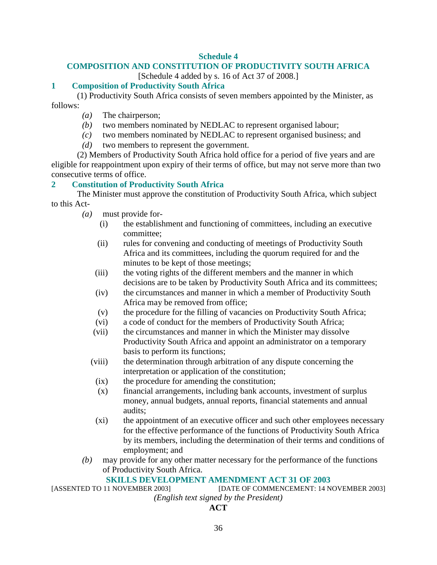## **Schedule 4**

## **COMPOSITION AND CONSTITUTION OF PRODUCTIVITY SOUTH AFRICA**

[Schedule 4 added by s. 16 of Act 37 of 2008.]

## **1 Composition of Productivity South Africa**

 (1) Productivity South Africa consists of seven members appointed by the Minister, as follows:

- *(a)* The chairperson;
- *(b)* two members nominated by NEDLAC to represent organised labour;
- *(c)* two members nominated by NEDLAC to represent organised business; and
- *(d)* two members to represent the government.

 (2) Members of Productivity South Africa hold office for a period of five years and are eligible for reappointment upon expiry of their terms of office, but may not serve more than two consecutive terms of office.

## **2 Constitution of Productivity South Africa**

 The Minister must approve the constitution of Productivity South Africa, which subject to this Act-

- *(a)* must provide for-
	- (i) the establishment and functioning of committees, including an executive committee;
	- (ii) rules for convening and conducting of meetings of Productivity South Africa and its committees, including the quorum required for and the minutes to be kept of those meetings;
	- (iii) the voting rights of the different members and the manner in which decisions are to be taken by Productivity South Africa and its committees;
	- (iv) the circumstances and manner in which a member of Productivity South Africa may be removed from office;
	- (v) the procedure for the filling of vacancies on Productivity South Africa;
	- (vi) a code of conduct for the members of Productivity South Africa;
	- (vii) the circumstances and manner in which the Minister may dissolve Productivity South Africa and appoint an administrator on a temporary basis to perform its functions;
	- (viii) the determination through arbitration of any dispute concerning the interpretation or application of the constitution;
		- (ix) the procedure for amending the constitution;
		- (x) financial arrangements, including bank accounts, investment of surplus money, annual budgets, annual reports, financial statements and annual audits;
	- (xi) the appointment of an executive officer and such other employees necessary for the effective performance of the functions of Productivity South Africa by its members, including the determination of their terms and conditions of employment; and
- *(b)* may provide for any other matter necessary for the performance of the functions of Productivity South Africa.

## **SKILLS DEVELOPMENT AMENDMENT ACT 31 OF 2003**

[ASSENTED TO 11 NOVEMBER 2003] [DATE OF COMMENCEMENT: 14 NOVEMBER 2003] *(English text signed by the President)* 

**ACT**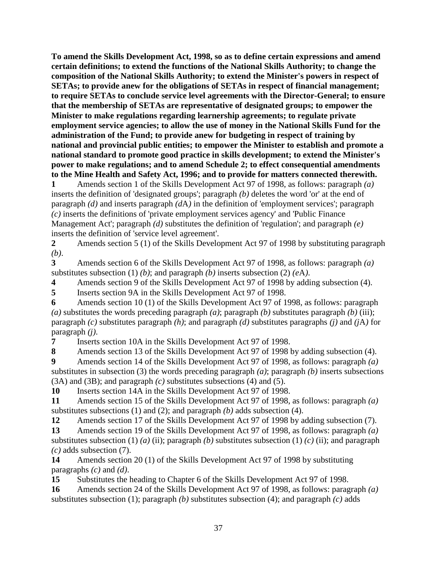**To amend the Skills Development Act, 1998, so as to define certain expressions and amend certain definitions; to extend the functions of the National Skills Authority; to change the composition of the National Skills Authority; to extend the Minister's powers in respect of SETAs; to provide anew for the obligations of SETAs in respect of financial management; to require SETAs to conclude service level agreements with the Director-General; to ensure that the membership of SETAs are representative of designated groups; to empower the Minister to make regulations regarding learnership agreements; to regulate private employment service agencies; to allow the use of money in the National Skills Fund for the administration of the Fund; to provide anew for budgeting in respect of training by national and provincial public entities; to empower the Minister to establish and promote a national standard to promote good practice in skills development; to extend the Minister's power to make regulations; and to amend Schedule 2; to effect consequential amendments to the Mine Health and Safety Act, 1996; and to provide for matters connected therewith.** 

**1** Amends section 1 of the Skills Development Act 97 of 1998, as follows: paragraph *(a)* inserts the definition of 'designated groups'; paragraph *(b)* deletes the word 'or' at the end of paragraph *(d)* and inserts paragraph *(d*A*)* in the definition of 'employment services'; paragraph *(c)* inserts the definitions of 'private employment services agency' and 'Public Finance Management Act'; paragraph *(d)* substitutes the definition of 'regulation'; and paragraph *(e)* inserts the definition of 'service level agreement'.

**2** Amends section 5 (1) of the Skills Development Act 97 of 1998 by substituting paragraph *(b)*.

**3** Amends section 6 of the Skills Development Act 97 of 1998, as follows: paragraph *(a)* substitutes subsection (1) *(b)*; and paragraph *(b)* inserts subsection (2) *(e*A*)*.

**4** Amends section 9 of the Skills Development Act 97 of 1998 by adding subsection (4).<br>**5** Inserts section 9A in the Skills Development Act 97 of 1998.

**5** Inserts section 9A in the Skills Development Act 97 of 1998.

**6** Amends section 10 (1) of the Skills Development Act 97 of 1998, as follows: paragraph *(a)* substitutes the words preceding paragraph *(a)*; paragraph *(b)* substitutes paragraph *(b)* (iii); paragraph *(c)* substitutes paragraph *(h)*; and paragraph *(d)* substitutes paragraphs *(j)* and *(j*A*)* for paragraph *(j)*.

**7** Inserts section 10A in the Skills Development Act 97 of 1998.

**8** Amends section 13 of the Skills Development Act 97 of 1998 by adding subsection (4).

**9** Amends section 14 of the Skills Development Act 97 of 1998, as follows: paragraph *(a)* substitutes in subsection (3) the words preceding paragraph *(a)*; paragraph *(b)* inserts subsections (3A) and (3B); and paragraph *(c)* substitutes subsections (4) and (5).

**10** Inserts section 14A in the Skills Development Act 97 of 1998.

**11** Amends section 15 of the Skills Development Act 97 of 1998, as follows: paragraph *(a)* substitutes subsections (1) and (2); and paragraph *(b)* adds subsection (4).

**12** Amends section 17 of the Skills Development Act 97 of 1998 by adding subsection (7). **13** Amends section 19 of the Skills Development Act 97 of 1998, as follows: paragraph *(a)* substitutes subsection (1) *(a)* (ii); paragraph *(b)* substitutes subsection (1) *(c)* (ii); and paragraph *(c)* adds subsection (7).

**14** Amends section 20 (1) of the Skills Development Act 97 of 1998 by substituting paragraphs *(c)* and *(d)*.

**15** Substitutes the heading to Chapter 6 of the Skills Development Act 97 of 1998.

**16** Amends section 24 of the Skills Development Act 97 of 1998, as follows: paragraph *(a)* substitutes subsection (1); paragraph *(b)* substitutes subsection (4); and paragraph *(c)* adds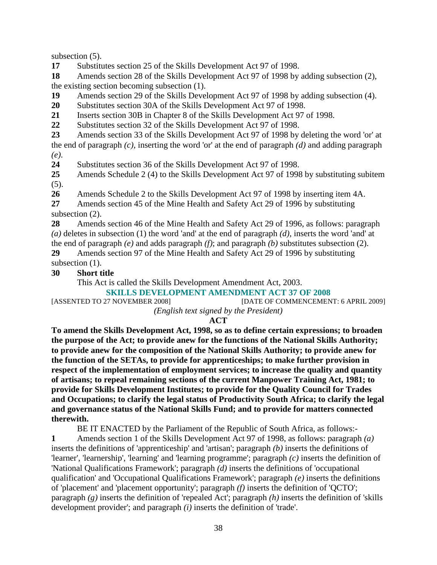subsection  $(5)$ .

**17** Substitutes section 25 of the Skills Development Act 97 of 1998.

**18** Amends section 28 of the Skills Development Act 97 of 1998 by adding subsection (2), the existing section becoming subsection (1).

**19** Amends section 29 of the Skills Development Act 97 of 1998 by adding subsection (4).

**20** Substitutes section 30A of the Skills Development Act 97 of 1998.

**21** Inserts section 30B in Chapter 8 of the Skills Development Act 97 of 1998.

**22** Substitutes section 32 of the Skills Development Act 97 of 1998.

**23** Amends section 33 of the Skills Development Act 97 of 1998 by deleting the word 'or' at the end of paragraph *(c)*, inserting the word 'or' at the end of paragraph *(d)* and adding paragraph *(e)*.

**24** Substitutes section 36 of the Skills Development Act 97 of 1998.

**25** Amends Schedule 2 (4) to the Skills Development Act 97 of 1998 by substituting subitem (5).

**26** Amends Schedule 2 to the Skills Development Act 97 of 1998 by inserting item 4A.

**27** Amends section 45 of the Mine Health and Safety Act 29 of 1996 by substituting subsection (2).

**28** Amends section 46 of the Mine Health and Safety Act 29 of 1996, as follows: paragraph *(a)* deletes in subsection (1) the word 'and' at the end of paragraph *(d)*, inserts the word 'and' at the end of paragraph *(e)* and adds paragraph *(f)*; and paragraph *(b)* substitutes subsection (2).

**29** Amends section 97 of the Mine Health and Safety Act 29 of 1996 by substituting subsection  $(1)$ .

## **30 Short title**

This Act is called the Skills Development Amendment Act, 2003.

**SKILLS DEVELOPMENT AMENDMENT ACT 37 OF 2008** 

[ASSENTED TO 27 NOVEMBER 2008] [DATE OF COMMENCEMENT: 6 APRIL 2009] *(English text signed by the President)* 

## **ACT**

**To amend the Skills Development Act, 1998, so as to define certain expressions; to broaden the purpose of the Act; to provide anew for the functions of the National Skills Authority; to provide anew for the composition of the National Skills Authority; to provide anew for the function of the SETAs, to provide for apprenticeships; to make further provision in respect of the implementation of employment services; to increase the quality and quantity of artisans; to repeal remaining sections of the current Manpower Training Act, 1981; to provide for Skills Development Institutes; to provide for the Quality Council for Trades and Occupations; to clarify the legal status of Productivity South Africa; to clarify the legal and governance status of the National Skills Fund; and to provide for matters connected therewith.** 

BE IT ENACTED by the Parliament of the Republic of South Africa, as follows:-

**1** Amends section 1 of the Skills Development Act 97 of 1998, as follows: paragraph *(a)* inserts the definitions of 'apprenticeship' and 'artisan'; paragraph *(b)* inserts the definitions of 'learner', 'learnership', 'learning' and 'learning programme'; paragraph *(c)* inserts the definition of 'National Qualifications Framework'; paragraph *(d)* inserts the definitions of 'occupational qualification' and 'Occupational Qualifications Framework'; paragraph *(e)* inserts the definitions of 'placement' and 'placement opportunity'; paragraph *(f)* inserts the definition of 'QCTO'; paragraph *(g)* inserts the definition of 'repealed Act'; paragraph *(h)* inserts the definition of 'skills development provider'; and paragraph *(i)* inserts the definition of 'trade'.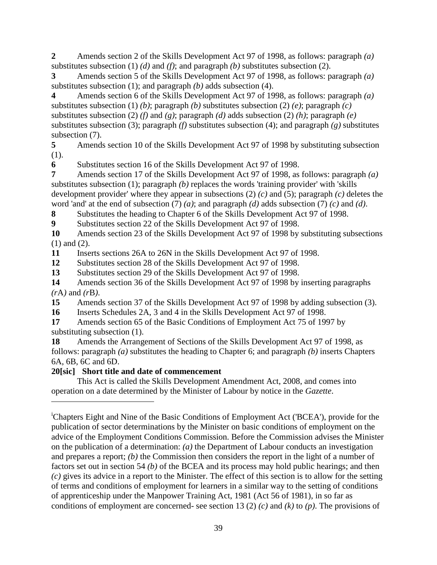**2** Amends section 2 of the Skills Development Act 97 of 1998, as follows: paragraph *(a)* substitutes subsection (1) *(d)* and *(f)*; and paragraph *(b)* substitutes subsection (2).

**3** Amends section 5 of the Skills Development Act 97 of 1998, as follows: paragraph *(a)* substitutes subsection (1); and paragraph *(b)* adds subsection (4).

**4** Amends section 6 of the Skills Development Act 97 of 1998, as follows: paragraph *(a)* substitutes subsection (1) *(b)*; paragraph *(b)* substitutes subsection (2) *(e)*; paragraph *(c)* substitutes subsection (2) *(f)* and *(g)*; paragraph *(d)* adds subsection (2) *(h)*; paragraph *(e)* substitutes subsection (3); paragraph *(f)* substitutes subsection (4); and paragraph *(g)* substitutes subsection (7).

**5** Amends section 10 of the Skills Development Act 97 of 1998 by substituting subsection (1).

**6** Substitutes section 16 of the Skills Development Act 97 of 1998.

**7** Amends section 17 of the Skills Development Act 97 of 1998, as follows: paragraph *(a)* substitutes subsection (1); paragraph *(b)* replaces the words 'training provider' with 'skills development provider' where they appear in subsections (2) *(c)* and (5); paragraph *(c)* deletes the word 'and' at the end of subsection (7) *(a)*; and paragraph *(d)* adds subsection (7) *(c)* and *(d)*.

**8** Substitutes the heading to Chapter 6 of the Skills Development Act 97 of 1998.

**9** Substitutes section 22 of the Skills Development Act 97 of 1998.

**10** Amends section 23 of the Skills Development Act 97 of 1998 by substituting subsections (1) and (2).

**11** Inserts sections 26A to 26N in the Skills Development Act 97 of 1998.

12 Substitutes section 28 of the Skills Development Act 97 of 1998.

**13** Substitutes section 29 of the Skills Development Act 97 of 1998.

**14** Amends section 36 of the Skills Development Act 97 of 1998 by inserting paragraphs *(r*A*)* and *(r*B*)*.

**15** Amends section 37 of the Skills Development Act 97 of 1998 by adding subsection (3).

**16** Inserts Schedules 2A, 3 and 4 in the Skills Development Act 97 of 1998.

**17** Amends section 65 of the Basic Conditions of Employment Act 75 of 1997 by substituting subsection (1).

**18** Amends the Arrangement of Sections of the Skills Development Act 97 of 1998, as follows: paragraph *(a)* substitutes the heading to Chapter 6; and paragraph *(b)* inserts Chapters 6A, 6B, 6C and 6D.

## **20[sic] Short title and date of commencement**

 $\overline{a}$ 

 This Act is called the Skills Development Amendment Act, 2008, and comes into operation on a date determined by the Minister of Labour by notice in the *Gazette*.

<sup>i</sup>Chapters Eight and Nine of the Basic Conditions of Employment Act ('BCEA'), provide for the publication of sector determinations by the Minister on basic conditions of employment on the advice of the Employment Conditions Commission. Before the Commission advises the Minister on the publication of a determination: *(a)* the Department of Labour conducts an investigation and prepares a report; *(b)* the Commission then considers the report in the light of a number of factors set out in section 54 *(b)* of the BCEA and its process may hold public hearings; and then *(c)* gives its advice in a report to the Minister. The effect of this section is to allow for the setting of terms and conditions of employment for learners in a similar way to the setting of conditions of apprenticeship under the Manpower Training Act, 1981 (Act 56 of 1981), in so far as conditions of employment are concerned- see section 13 (2) *(c)* and *(k)* to *(p)*. The provisions of